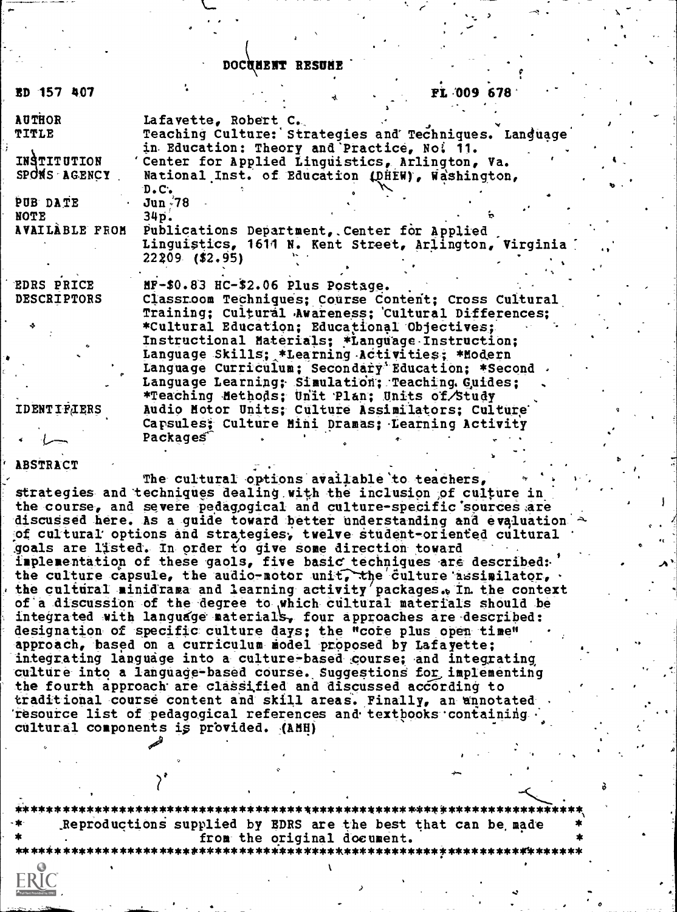#### DOCUMENT RESUME

| ED 157 407                                                                                                | FL 009 678<br>નો                                                                                                                                                                                                                                                                                                                                                                                                                                                                                                                                                                                                                                     |
|-----------------------------------------------------------------------------------------------------------|------------------------------------------------------------------------------------------------------------------------------------------------------------------------------------------------------------------------------------------------------------------------------------------------------------------------------------------------------------------------------------------------------------------------------------------------------------------------------------------------------------------------------------------------------------------------------------------------------------------------------------------------------|
| <b>AUTHOR</b><br>TITLE<br>INSTITUTION<br>SPONS AGENCY<br>PUB DATE<br><b>NOTE</b><br><b>AVAILABLE FROM</b> | Lafavette, Robert C.<br>Teaching Culture: Strategies and Techniques. Language<br>in Education: Theory and Practice, No. 11.<br>Center for Applied Linguistics, Arlington, Va.<br>National Inst. of Education (DHEW), Washington,<br>D.C.<br>$Jun \sqrt{78}$<br>34p.<br>Publications Department, Center for Applied<br>Linguistics, 1614 N. Kent Street, Arlington, Virginia<br>$22209$ (\$2.95)                                                                                                                                                                                                                                                      |
| <b>EDRS PRICE</b><br><b>DESCRIPTORS</b><br><b>IDENTIFIERS</b>                                             | $HP-$0.83$ $HC-$2.06$ $Plus$ $Postage.$<br>Classroom Techniques; Course Content; Cross Cultural<br>Training; Cultural Awareness; Cultural Differences;<br>*Cultural Education; Educational Objectives;<br>Instructional Materials; *Language Instruction;<br>Language Skills; *Learning Activities; *Modern<br>Language Curriculum; Secondary Education; *Second<br>Language Learning; Simulation; Teaching. Guides;<br>*Teaching Methods; Unit Plan; Units of Study<br>Audio Motor Units; Culture Assimilators; Culture<br>Capsules; Culture Mini Dramas; Learning Activity                                                                         |
| ABSTRACT                                                                                                  | Packages<br>The cultural options available to teachers,                                                                                                                                                                                                                                                                                                                                                                                                                                                                                                                                                                                              |
|                                                                                                           | strategies and techniques dealing with the inclusion of culture in<br>the course, and severe pedagogical and culture-specific sources are<br>discussed here. As a guide toward better understanding and evaluation<br>of cultural options and strategies, twelve student-oriented cultural<br>goals are listed. In order to give some direction toward<br>implementation of these gaols, five basic techniques are described:<br>the culture capsule, the audio-motor unit, the culture assimilator,<br>the cultural minidrama and learning activity packages. In the context<br>of a discussion of the degree to which cultural materials should be |

integrated with language materials, four approaches are described: designation of specific culture days; the "core plus open time" approach, based on a curriculum model proposed by Lafayette; integrating language into a culture-based course; and integrating culture into a language-based course. Suggestions for implementing the fourth approach are classified and discussed according to traditional course content and skill areas. Finally, an annotated resource list of pedagogical references and textbooks containing cultural components is provided. (AMH)

\*\*\*\*\*\*\*\*\* \*\*\*\*\*\*\*\*\*\*\*\*\*\*\*\*\* Reproductions supplied by EDRS are the best that can be made from the original document.

\*\*\*\*\*\*\*\*\*\*\*\*\*\*\*\*\*\*\*\*\*\*\*\*\*\*\*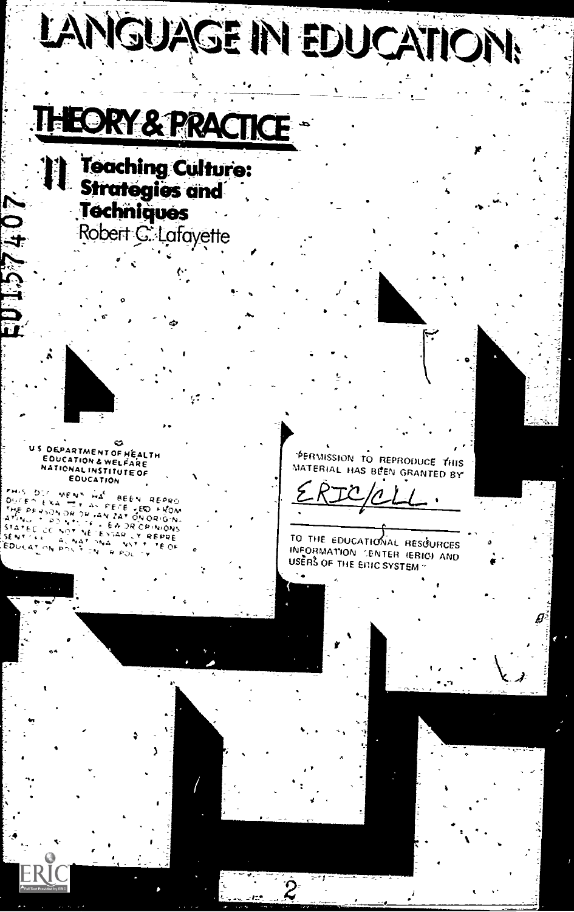# LANGUAGE IN EDUCATION!

## **HEORY & PRACTICE**

**Teaching Culture: Strategies and** Techniques Robert C: Lafayette

 $\mathbf{C}$ US OEPARTMENT OF HEALTH EDUCATION & WELFARE NATIONAL INSTITUTE OF **EDUCATION** 

0124910

**PHIS DIC MENS WAS BEEN REPRO.**<br>DUCES EXA TT AN FEE FRO FUNDA.<br>THE PENSON OR OR AN ZAT ON ORIGNIA.<br>ATING TO DICT YES EN OR CPINIONS<br>STATEC CC NOT YES EN OR CPINIONS<br>STATEC CC NOT YES EN OR CPINIONS **JENTORE ACNATIONAL**<br>EDUCATION POLITICS  $\mathcal{H}(\mathcal{F},\mathcal{F})$ TE OF  $9.90c + 1$ 

PERMISSION TO REPRODUCE THIS MATERIAL HAS BEEN GRANTED BY

TO THE EDUCATIONAL RESOURCES INFORMATION CENTER (ERIC) AND USERS OF THE ENIC SYSTEM "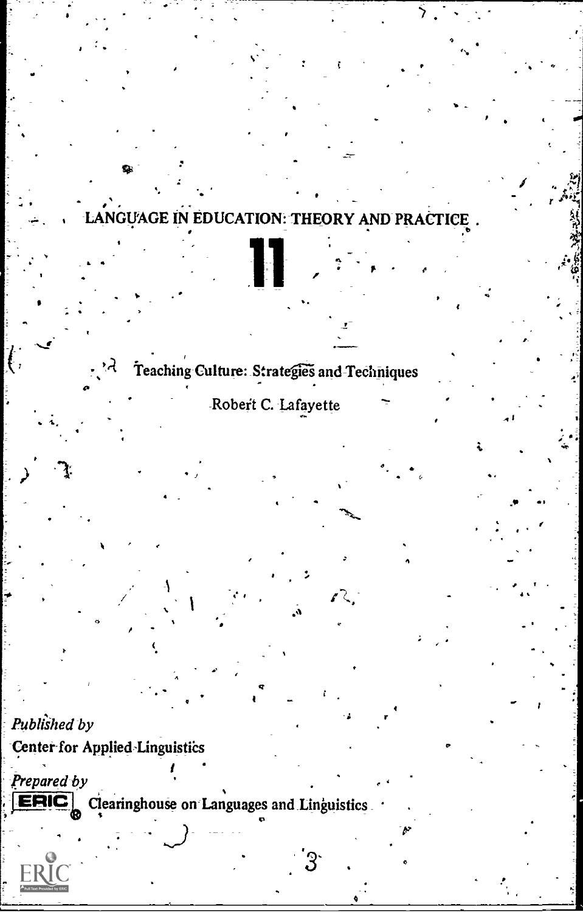## LANGUAGE IN EDUCATION: THEORY AND PRACTICE.

## Teaching Culture: Strategies and Techniques

## Robert C. Lafayette

## Published by

€,

Center for Applied Linguistics

्ने

Prepared by Clearinghouse on Languages and Linguistics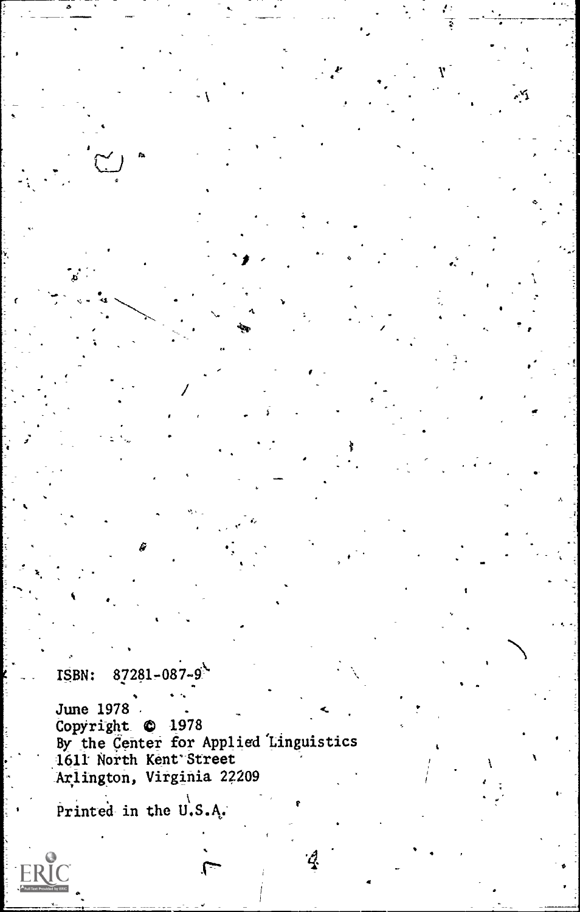#### $87281 - 087 - 9$ ISBN:

June 1978 . Copyright © 1978 By the Center for Applied Linguistics 1611 North Kent' Street Arlington, Virginia 22209

 $\ddot{\phantom{1}}$ 

exi

Printed in the U.S.A.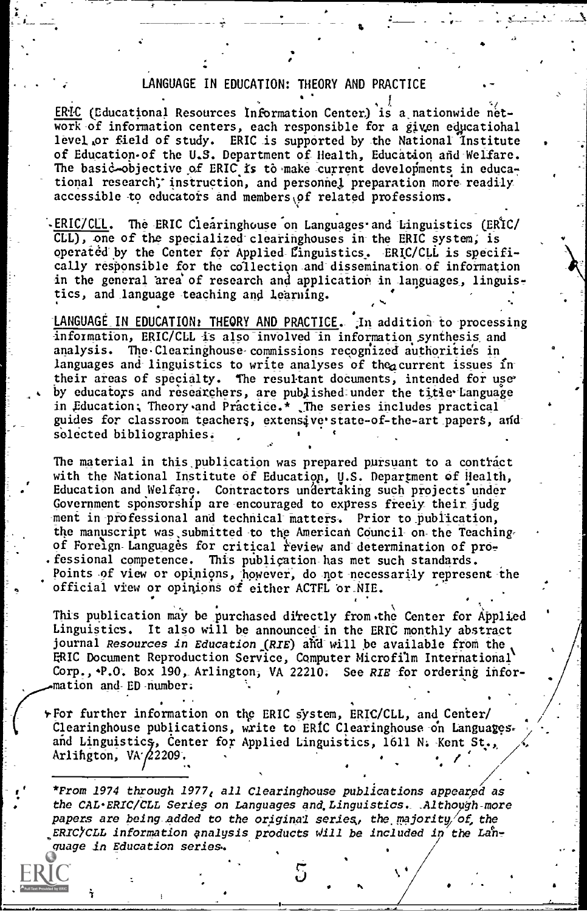#### LANGUAGE IN EDUCATION: THEORY AND PRACTICE

ERIC (Educational Resources Information Center) is a nationwide network of information centers, each responsible for a given educatiohal level or field of study. ERIC is supported by the National Institute of Education-of the U.S. Department of Health, Education and-Welfare. The basic-objective of ERIC is to make current developments in educational research; instruction, and personnel preparation more readily accessible to educators and members of related professions.

ERIC/CLL. The ERIC Clearinghouse on Languages and Linguistics (ERIC/ CLL), one of the specialized clearinghouses in the ERIC system, is operated by the Center for Applied-Linguistics. ERIC/CLL is specifically responsible for the collection and dissemination of information in the general area' of research and application in languages, linguistics, and\_language teaching and learning.

LANGUAGE IN EDUCATION: THEORY AND PRACTICE. In addition to processing information, ERIC/CLL is also involved in information synthesis and analysis. The Clearinghouse commissions recognized authorities in languages and linguistics to write analyses of the current issues intheir areas of specialty. The resultant doduments, intended for use' by educators and researchers, are published under the title-Language in Education; Theory and Practice.\* The series includes practical guides for classroom teachers, extensive state-of-the-art papers, and selected bibliographies.

The material in this publication was prepared pursuant to a contract with the National Institute of Education, U.S. Department of Health, Education and Welfare. Contractors undertaking such projects under Government sponsorship are encouraged to express freely their judg ment in-professional and technical matters, Prior to- publication, the manuscript was submitted to the American Council on the Teaching of Foreign-Languages for critical review and determination of professional competence. This publication has met such standards. Points of view or opinions, however, do not necessarily represent the official view or opinions of either ACTFL or NIE.

This publication may be purchased directly from the Center for Applied Linguistics. It also will be announced in the ERIC monthly abstract journal Resources in Education  $(RIE)$  and will be available from the ERIC Document Reproduction Service, Computer Microfilm International Corp., P.O. Box 190, Arlington, VA 22210. See RIE for ordering information and-ED-number;

.

\*For further information on the ERIC system, ERIC/CLL, and Cerfter/ / Clearinghouse publications, write to ERIC Clearinghouse -on Languages. <sup>&</sup>gt; and Linguistics, Center for Applied Linguistics, 1611 N. Kent St., Arlington, VA $/$ 2209.

\*From 1974 through 1977, all Clearinghouse publications appeared as the CAL-ERIC/CLL Series on Languages and Linguistics. Although-more papers are being added to the original series, the majority/of, the ERIC/CLL information analysis products will be included in the Language in Education series,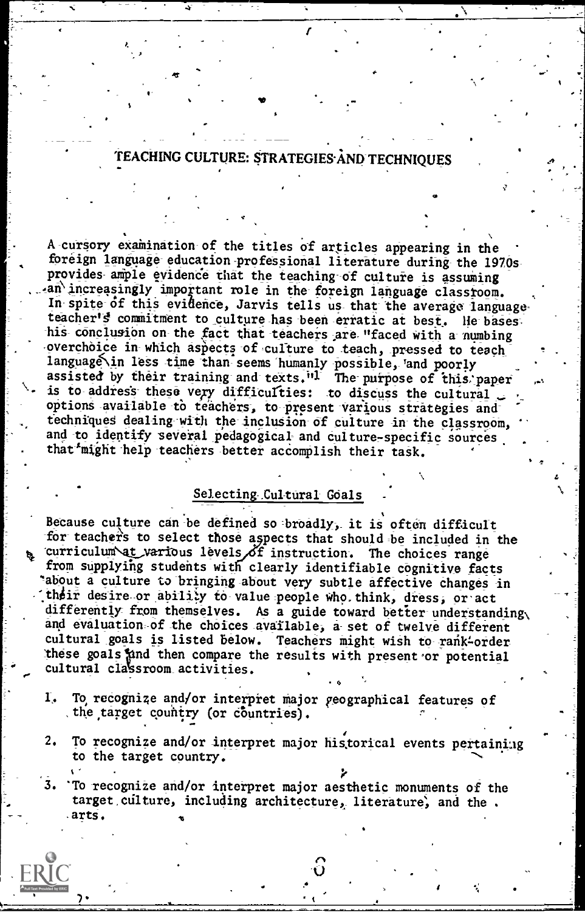### TEACHING CULTURE: STRATEGIES AND TECHNIQUES

A cursory examination of the titles of articles appearing in the foreign language education professional literature during the 1970s provides ample evidence that the teaching of culture is assuming an increasingly important role in the foreign language classroom. In spite of this evidence, Jarvis tells us that the average language teacher's commitment to culture has been erratic at best. He bases his conclusion on the fact that teachers are "faced with a numbing overchoice in which aspects of culture to teach, pressed to teach language in less time than seems humanly possible, and poorly assisted by their training and texts."<sup>1</sup> The purpose of this paper is to address these very difficulties: to discuss the cultural options available to teachers, to present various strategies and techniques dealing with the inclusion of culture in the classroom, and to identify several pedagogical and culture-specific sources that might help teachers better accomplish their task.

#### Selecting Cultural Goals

Because culture can be defined so broadly, it is often difficult for teachers to select those aspects that should be included in the curriculum at various levels of instruction. The choices range from supplying students with clearly identifiable cognitive facts "about a culture to bringing about very subtle affective changes in their desire or ability to value people who think, dress, or act differently from themselves. As a guide toward better understanding, and evaluation of the choices available, a set of twelve different cultural goals is listed below. Teachers might wish to rank-order these goals and then compare the results with present or potential cultural classroom activities.

- To recognize and/or interpret major geographical features of I, the target country (or countries).
- To recognize and/or interpret major historical events pertaining  $2.$ to the target country.

 $3.$ 'To recognize and/or interpret major aesthetic monuments of the target culture, including architecture, literature, and the. arts.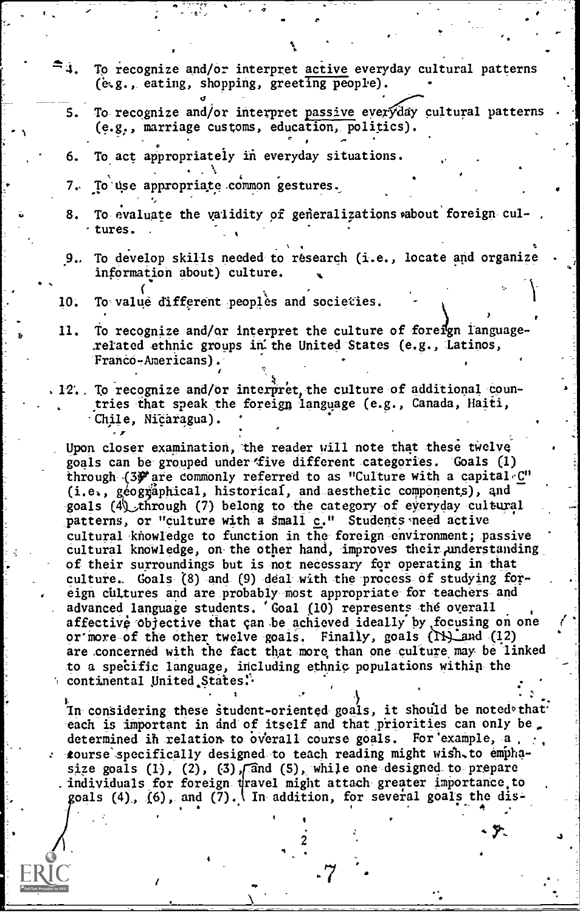- $z^*$  3. To recognize and/or interpret active everyday cultural patterns (g.g., eating, shopping, greeting people).
	- S. To recognize and/or interpret passive everyday cultural patterns (e.g., marriage customs, education, politics).
	- 6. To act appropriately in everyday situations.
	- $\mathbf{r} \cdot \mathbf{r} = \mathbf{r} \cdot \mathbf{r}$ 7, To'Use appropriate. ommon gestures,
	- 8. To evaluate the validity of generalizations about foreign cul-.tures.
	- % 9.. To develop skills needed-to research (i.e., locate and organize information about) culture.
	- 10. To value different peoples and societies.
- 11. To recognize and/or interpret the culture of foreign languagerelated ethnic groups in the United States (e.g., Latinos, Franco-Americans).
- . 12. To recognize and/or interpret, the culture of additional countries-that speak the foreign language (e.g., Canada, Haiti, -Chile, NiCaragua).

Upon closer examination, the reader will note that these twelve goals can be grouped under five different categories. Goals (1) through (3) are commonly referred to as "Culture with a capital C"  $(i.e., g\acute{e}o'g\acute{a}phical, historical, and aesthetic components), and$ goals (4) through (7) belong to the category of everyday cultural patterns, or "culture with a small c." Students need active cultural knowledge to function in the foreign environment; passive cultural knowledge, on the other hand, improves their,understanding of their surroundings but is not necessary for operating in that culture.. Goals (8) and (9) deal with the process of studying foreign cultures and are probably host appropriate for teachers and advanced language students. 'Goal (10) represents the overall affective objective that can be achieved ideally by focusing on one or more of the other twelve goals. Finally, goals (IX) and (12). are concerned with the fact that more than one culture may be linked to a specific language, including ethnic populations within the continental United States.

In considering these student-oriented goals, it should be noted that each is important in and of itself and that priorities can only be. determined in relation- to overall course goals. For example, a  $, \cdot, \cdot$ tourse'specifically designed to teach reading might wigh,to emphasize goals (1), (2), (3),  $\pi$  and (5), while one designed to prepare . individuals for foreign dravel might attach greater importance.to goals (4), (6), and (7). In addition, for several goals the dis-

-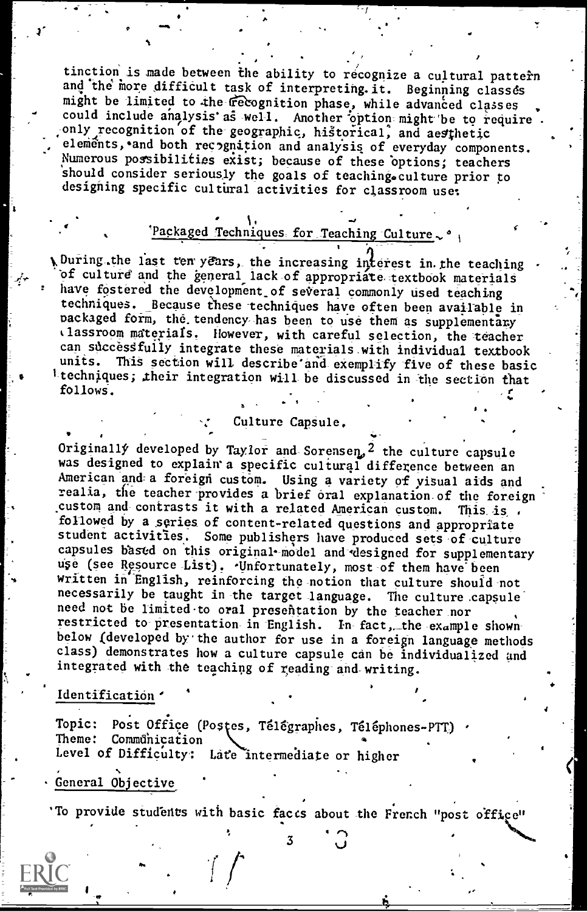tinction is made between the ability to recognize a cultural pattern and the more difficult task of interpreting.it. Beginning classes might be limited to the recognition phase, while advanced classes could include analysis as well. Another option might be to require only recognition of the geographic, historical, and aesthetic elements, and both recognition and analysis of everyday components. Numerous possibilities exist; because of these options; teachers should consider seriously the goals of teaching.culture prior to designing specific cultural activities for classroom use:

#### 'Packaged Techniques for Teaching Culture, '

vDuring the last ten years, the increasing interest in the teaching of culture and the general lack of appropriate textbook materials have fostered the development of several commonly used teaching techniques. Because these techniques have often been available in packaged form, the tendency has been to use them as supplementary tlassroom materials. However, with careful selection, the -teacher can successfully integrate these materials with individual textbook<br>units. This section will describe and exemplify five of these basis This section will describe and exemplify five of these basic 1-techniques; .their integration will\_ be discussed in the section that follows.

#### Culture Capsule.

Originally developed by Taylor and Sorensen,  $2$  the culture capsule was designed to explain a specific cultural difference between an was designed to explain a specific cultural difference between an and-a foreign custom. Using a variety of visual aids and realia, the teacher provides a brief oral explanation of the foreign custom and contrasts it with a related American custom. This is followed by a series of content-related questions and appropriate student activities. Some publishers have produced sets of- culture capsules based on this original model and designed for supplementary use (see Resource List). Unfortunately, most of them have been written in English, reinforcing the notion that culture should not necessarily be taught in the target language. The culture capsule need not be limited to oral presentation by the teacher nor need not be limited to oral presentation by the teacher nor<br>restricted to-presentation in English. In fact, the example shownbelow (developed by the author for use in a foreign language methods class) demonstrates how a culture capsule can be individualized and integrated with the teaching of reading-and-writing.

#### Identification '

Topic: Post Office (Postes, Télégraphes, Téléphones-PTT) Theme: Communication Level of Difficulty: Late intermediate or higher

#### General Objective

3/4

'To provide students with basic faces about the French "post office"

س د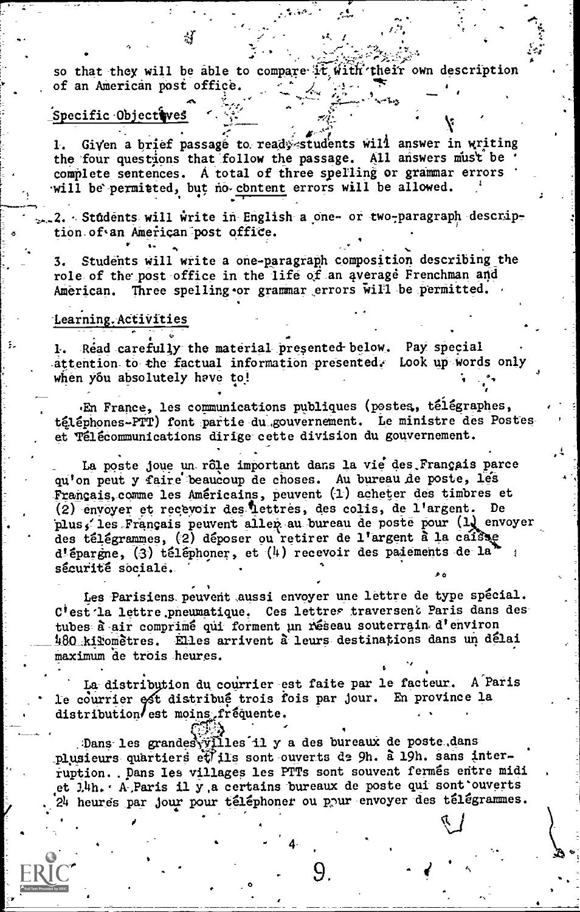so that they will be able to compare it with their own description of an American post office.

#### Specific Objectives

1. Given a brief passage to ready students will answer in writing the four questions that follow the passage. All answers must be complete sentences. A total of three spelling or grammar errors will be permitted, but no content errors will be allowed.

2. Students will write in English a one- or two-paragraph description of an American post office.

3. Students will write a one-paragraph composition describing the role of the post office in the life of an average Frenchman and American. Three spelling or grammar errors will be permitted.

#### Learning.-Activities

1. Read carefully the material presented- below. Pay special - attention to the factual information presented. Look up words only when you absolutely have to!

En France, les communications publiques (postes, télégraphes, téléphones-PTT) font partie du gouvernement. Le ministre des Postes et Telecommunications dirige cette division du gouvernement.

La poste joue un rôle important dans la vie des Français parce<br>qu'on peut y faire beaucoup de choses. Au bureau de poste, 1es Francais, come les Americains, peuvent (1) acheter des timbres et (2) envoyer et recevoir des-flettres, des colis, de l'argent. De plus, les Français peuvent allep au bureau de poste pour (1) envoyer plus, les riquisais pouront partir de l'argent à la caisse<br>d'épargne, (3) téléphoner, et (4) recevoir des palements de la sécurité sociale.

Les Parisiens peuvent aussi envoyer une lettre de type spécial.<br>C'est la lettre .pneumatique. Ces lettres traversent Paris dans des tubes à air comprimé qui forment un réseau souterrain d'environ 480 kiromètres. Elles arrivent à leurs destinations dans un délai maximum de trois heures.

La distribution du courrier est faite par le facteur. A Paris le courrier est distribué trois fois par jour. En province la distribution est moins fréquente.

. Dans les grandes $\sqrt{\text{II}}$ les il y a des bureaux de poste dans plusieurs quartiers et $\text{II}$ lis sont ouverts de 9h. à 19h. sans interruption.. Dans les villages les PTTs sont souvent fermés entre midiet J.4h. A. Paris il y a certains bureaux de poste qui sont ouverts 24 heures par jour pour téléphoner ou pour envoyer des télégrammes.

 $4 \frac{1}{2}$ 

9.

 $\cup$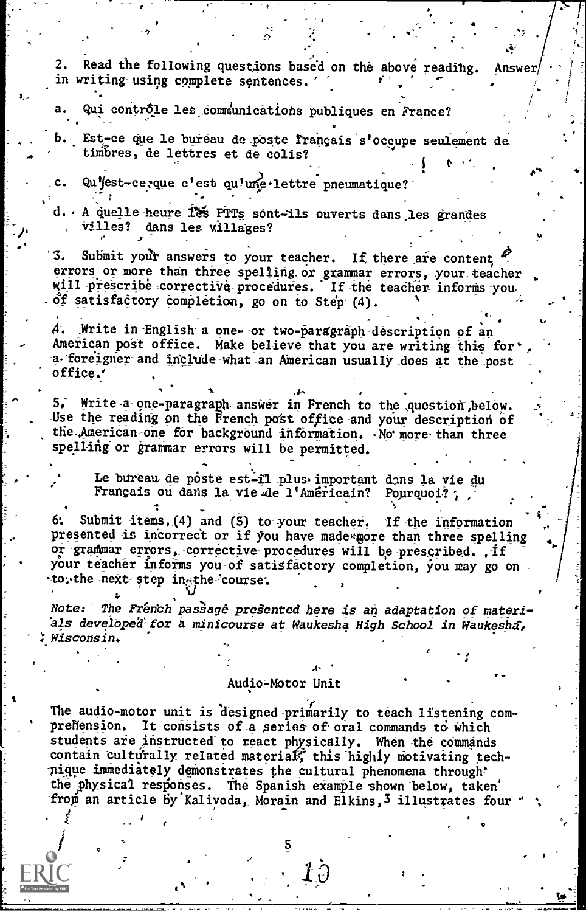Read the following questions based on the above reading.  $\overline{2}$ . **Answer** in writing using complete sentences. Qui contrôle les communications publiques en France? Est-ce que le bureau de poste français s'occupe seulement de Ь. timbres, de lettres et de colis? Qu'est-ce, que c'est qu'une lettre pneumatique?  $c_{\star}$ d. A quelle heure 185 PTTs sont-ils ouverts dans les grandes villes? dans les willages? 3. Submit your answers to your teacher. If there are content errors or more than three spelling or grammar errors, your teacher will prescribe corrective procedures. If the teacher informs you  $\delta$ f satisfactory completion, go on to Step (4). A. Write in English a one- or two-paragraph description of an American post office. Make believe that you are writing this for' a foreigner and include what an American usually does at the post office.' 5. Write a one-paragraph answer in French to the quostion below. Use the reading on the French post office and your description of the American one for background information. No more than three spelling or grammar errors will be permitted. Le bureau de poste est-il plus important dans la vie du Français ou dans la vie de l'Américain? Pourquoi?; Submit items. (4) and (5) to your teacher. If the information presented is incorrect or if you have made more than three spelling or grammar errors, corrective procedures will be prescribed. . if your teacher informs you of satisfactory completion, you may go on to, the next step in the course. Note: The French passage presented here is an adaptation of materials developed for a minicourse at Waukesha High School in Waukesha, Wisconsin.

Audio-Motor Unit

The audio-motor unit is designed primarily to teach listening comprehension. It consists of a series of oral commands to which students are instructed to react physically. When the commands contain culturally related material, this highly motivating technique immediately demonstrates the cultural phenomena through' the physical responses. The Spanish example shown below, taken' from an article by Kalivoda, Morain and Elkins, 3 illustrates four

 $\pmb{\downarrow}\hat{o}$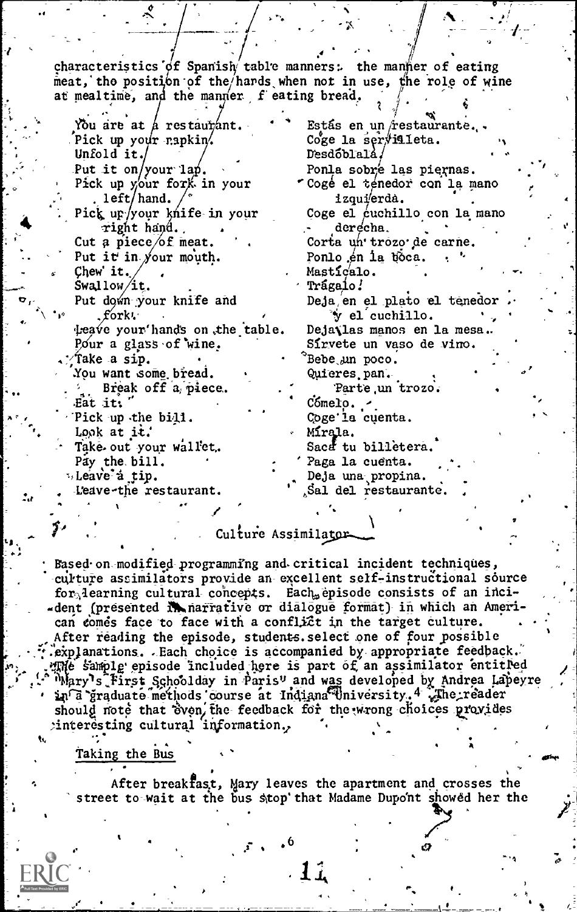characteristics of Spanish table manners: the manner of eating  $\frac{1}{2}$  meat, the position of the hards when not in use, the role of wine at mealtime, and the manner feating bread.  $\int$ Estás en un restaurante...<br>Coge la servilleta. DesdOblalA./ "Cogé el ténedor con la mano Ponla sobre las piernas. izqui'erda.<br>Coge el cuchillo con la mano derecha. Corta un' trozo de carne. Ponlo én la toca.<br>Masticalo.<br>Trágaio! Deja, en el plato el tenedor  $y$  el cuchillo. Deja (las manos en la mesa.<br>Sírvete un vaso de vino. 'Bebe<sub>v</sub>un poco. Quieres, pan. Parte un trozo.<br>Cómelo. Cogela cuenta. Mírala. Sacat tu billetera.<br>Paga la cuenta. Deja una propina. ,8al del restaurante. You are at  $\frac{1}{\beta}$  restaurant. Pick up your rapkin.<br>Unfold it./ Put it on/your lap.<br>Pick up your fork in your to the . left/hand. Pick up/your knife in your right hand.<br>Cut a piece of meat.<br>Put it in your mouth. chew iy , Swallow it. our mouth. Put down your knife and<br>fork. per versuit thands on the table. Det Pour a glass of wine.<br>Take a sip. .<br>You want some bread. <sup>2</sup>, Break off a piece.<br>Eat it: " 'Pick up the bi4i. Look at it. Take- out your wallet.<br>Pay the bill.<br>Deave a tip. Leave-the restaurant.  $6f$  meat. of

Culture Assimilator-

Based. on modified programming and- critical incident techniques, culture assimilators provide an excellent self-instructional source for learning cultural concepts. Each episode consists of an inci-<br>-dent (presented in narrative or dialogue format) in which an American comes face to face with a conflict in the target culture.<br>After reading the episode, students. select one of four possible<br>'explanations. . Each choice is accompanied by appropriate feedback.  $m_e$  sample episode included here is part of an assimilator entitled "Mary's First Schoolday in Paris" and was developed by Andrea Lapeyre<br>in a graduate methods course at Indiana University, 4 The reader a in a graduate methods course at Indiana University..4 Jhe reader should note that 'even' field for the wrong choices provides interesting cultural information.<br>w

, с. Taking the Bus

After breakfast, Mary leaves the apartment and crosses the street to wait at the bus stop that Madame Dupont showed her the

.6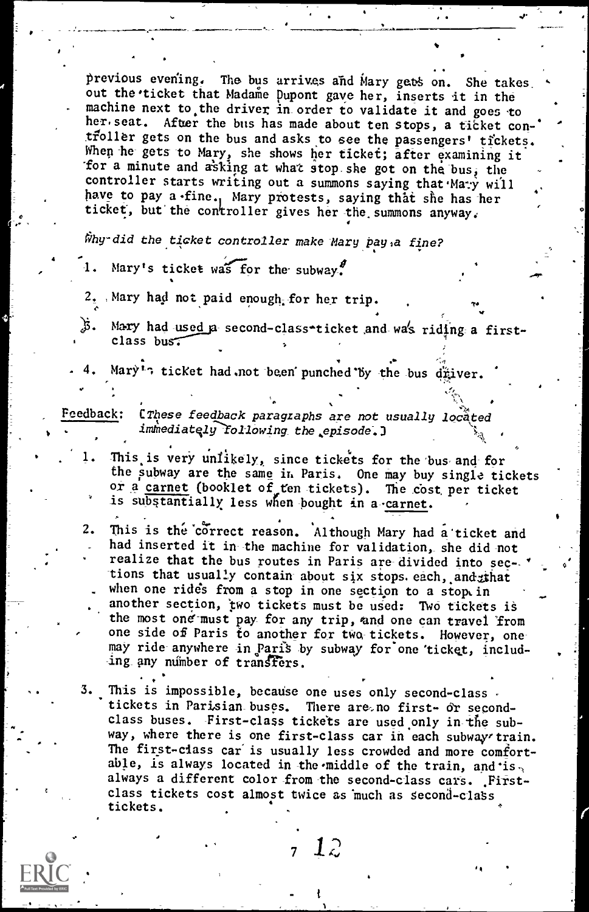previous evening. The bus arrives and Mary gets on. She takes. out the ticket that Madame Dupont gave her, inserts it in the machine next to the driver in order to validate it and goes to her seat. After the bus has made about ten stops, a ticket con-' troller gets on the bus and asks to see the passengers' tickets. When he gets to Mary, she shows her ticket; after examining it for a minute and asking at what stop she got on the bus, the controller starts writing out a summons saying that Mary will have to pay a fine., Mary protests, saying that she has her ticket, but the controller gives her the summons anyway.

Why-did the ticket controller make Mary pay, a fine?

- Mary's ticket was for the subway.
- 2. Mary had not paid enough for her trip.
- $\beta$ . Mary had used a second-class-ticket and was riding a firstclass bus:
- Mary<sup>1</sup>: ticket had.not been punched by the bus driver.

Feedback: [These feedback paragraphs are not usually located immediately following the episode.)

- 1. This is very unlikely, since tickets for the bus and for the subway are the same in Paris. One may buy single tickets or a carnet (booklet of ten tickets). The cost per ticket is substantially less when bought in a carnet.
- 2. This is the correct reason. Although Mary had a ticket and had inserted it in-the machine for validation, she did-not realize that the bus routes in Paris are-divided into sec-tions that usually contain about six stops.each, and that when one rides from a stop in one section to a stop in another section, two tickets must be used: Two tickets is the most one must pay for any trip, and one can travel from one side of Paris to another for two tickets. However, onemay ride anywhere in Paris by subway for one ticket, including any number of transfers.
- 3. This is impossible, because one uses only second-class tickets in Parisian\_buses. There are,no first- or secondclass buses. -First-class tickets are used only in-the subway, where there is one first-class car in each subway'train. The first-class car is usually less crowded and more comfortable, is always located in the middle of the train, and is always a different color from the second-class cars. Firstclass tickets cost almost twice as much as second-class tickets.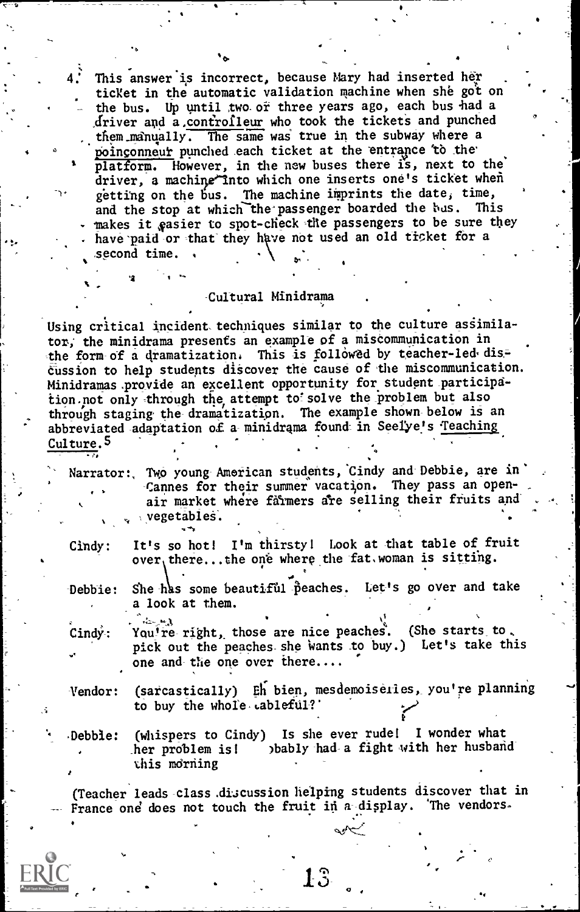This answer is incorrect, because Mary had inserted her ticket in the automatic validation machine when she got on the bus. Up until two or three years ago, each bus had a driver and a.controlleur who took the tickets and punched  $\mathcal{L}_{\text{t}}$ , them manually. The same was true in the subway where a poinconneur punched each ticket at the entrance to the platform. However, in the new buses there is, next to the' driver, a machine into which one inserts one's ticket when getting on the bus. The machine imprints the date, time, and the stop at which the passenger boarded the bus. This makes it easier to spot-check the passengers to be sure they have paid or that they have not used an old ticket for a

#### -Cultural Minidrama

Using critical incident techniques similar to the culture assimilator, the minidrama presents an example of a miscommunication in the form of a dramatization. This is followed by teacher-led-dis-EUssion to help students discover the cause of the miscommunication. Minidramas provide an excellent opportunity for student participation not only through the attempt to solve the problem but also through staging the dramatization. The example shown-below is an abbreviated adaptation of a minidrama found in Seelye's Teaching  $Culture.5$ 

 $Narrator:$  Two young American students, Cindy and Debbie, are in -Cannes for their summer vacation. They pass an openmarket where fdrmers are selling their fruits and vegetables. e

o

second time.  $\cdot$ 

 $\mathbf{v}$ ,  $\mathbf{v}$ ,  $\mathbf{v}$ 

Cindy: It's so hot! I'm thirsty! Look at that table of fruit  $over$ , there...the one where the fat, woman is sitting.

Debbie: She has some beautiful peaches. Let's go over and take a look at them.

أأرسيت Cindy: You're-right, those are nice peaches. (She starts to., pick out the peaches she wants to buy.) Let's take this one and-the one over there....

Vendor: (sarcastically) Eh bien, mesdemoiseries, you're planning to buy the whole cableful?

Debbie: (whispers to Cindy) Is she ever rude! I wonder what her problem is! )bably-had-a fight with her husbandthis morning

(Teacher leads class discussion helping students discover that in France one does not touch the fruit in a display. The vendors.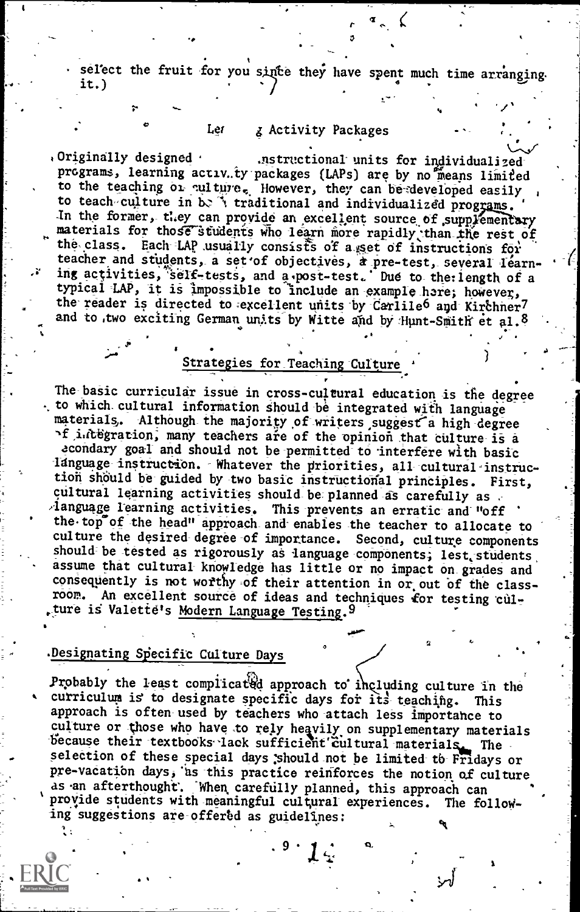select the fruit for you since they have spent much time arranging. it.)

#### Ler g Activity Packages

Originally designed  $\cdot$ .nstructional units for individualized programs, learning activ.ty packages (LAPs) are by no means limited to the teaching or culture. However, they can be developed easily to teach culture in b. I traditional and individualized programs. In the former, they can provide an excellent source of supplementary materials for those students who learn more rapidly than the rest of the class. Each LAP usually consists of a set of instructions for teacher and students, a set of objectives, a pre-test, several learning activities, self-tests, and a post-test. Due to the length of a typical LAP, it is impossible to include an example here; however, the reader is directed to excellent units by Carlile6 and Kirchner7 and to two exciting German units by Witte and by Hunt-Smith et al.8

#### Strategies for Teaching Culture

The basic curricular issue in cross-cultural education is the degree to which cultural information should be integrated with language materials. Although the majority of writers suggest a high degree If integration, many teachers are of the opinion that culture is a acondary goal and should not be permitted to interfere with basic language instruction. Whatever the priorities, all cultural instruction should be guided by two basic instructional principles. First. cultural learning activities should be planned as carefully as language learning activities. This prevents an erratic and "off the top of the head" approach and enables the teacher to allocate to culture the desired degree of importance. Second, culture components should be tested as rigorously as language components; lest students assume that cultural knowledge has little or no impact on grades and consequently is not worthy of their attention in or out of the classroom. An excellent source of ideas and techniques for testing culture is Valette's Modern Language Testing.<sup>9</sup>

#### Designating Specific Culture Days

Probably the least complicated approach to including culture in the curriculum is to designate specific days for its teaching. This approach is often used by teachers who attach less importance to culture or those who have to rely heavily on supplementary materials because their textbooks lack sufficient cultural materials. The selection of these special days should not be limited to Fridays or pre-vacation days, as this practice reinforces the notion of culture as an afterthought. When carefully planned, this approach can provide students with meaningful cultural experiences. The following suggestions are offered as guidelines: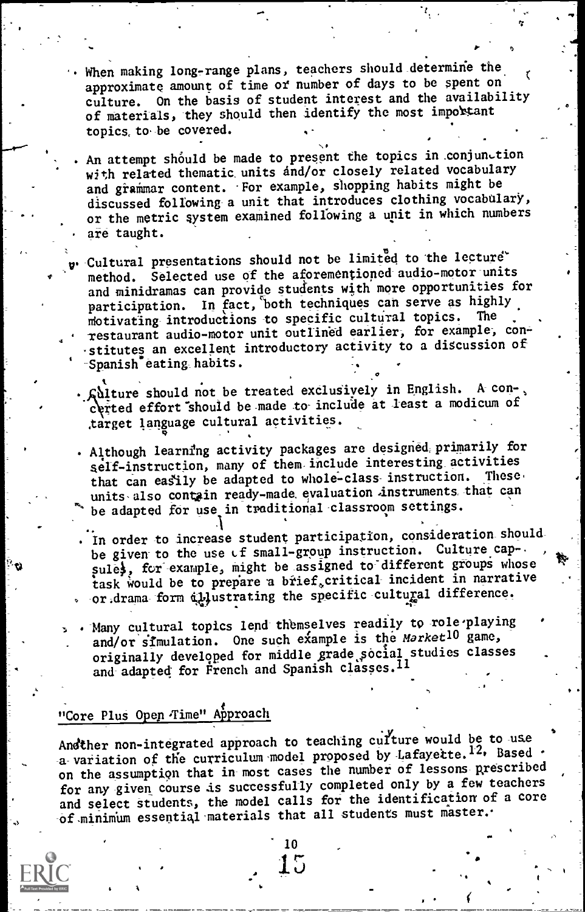- When making long-range plans, teachers should determine the approximate amount of time of number of days to be spent on culture. On the basis of student interest and the availability of materials, they should then identify the most important topics, to-be covered.
- An attempt should be made to present the topics in conjunction with related thematic units and/or closely related vocabulary and grammar content. For example, shopping habits might be discussed following-a unit that introduces clothing vocabulary, or the metric system examined following a unit in which numbers are taught.
- -Cultural presentations should not be limited to the lecture method. Selected use of the aforementioned audio-motor units and minidramas can provide students with more opportunities for participation. In fact, both techniques can serve as highly motivating introductions to specific cultural topics. restaurant audio-motor unit outlined earlier, for example, constitutes an excellent introductory activity to a discussion of Spanish eating habits.
- Nlture should not be treated exclusively in English. A-con-, certed effort should be made to include at least a modicum of ,target language cultural activities.
- . Although learning activity packages are designed primarily for self-instruction, many of them include interesting activities that can easily be adapted to whole-class instruction. These, units also contain ready-made evaluation instruments that can be adapted for use in traditional classroom settings.
- .<br>In order to increase student participation, consideration shouldbe given to the use Lf small-group instruction. Culture cap-. sule), for example, might be assigned to different groups whose task would be to prepare a brief, critical incident in narrative or drama form illustrating the specific cultural difference.
- . Many cultural topics lend themselves readily to role-playing and/or simulation. One such example is the Market<sup>10</sup> game, originally developed for middle grade social studies classes and adapted for French and Spanish classes. 11

#### "Core Plus Open Time" Approach

Andther non-integrated approach to teaching culture would be to use a variation of the curriculum model proposed by Lafayette.<sup>12.</sup> Based on the assumption that in-most cases the number of lessons prescribed for any-given course is successfully completed only by a few teachers and select students, the model calls for the identification of a core of minimum essential materials that all students must master.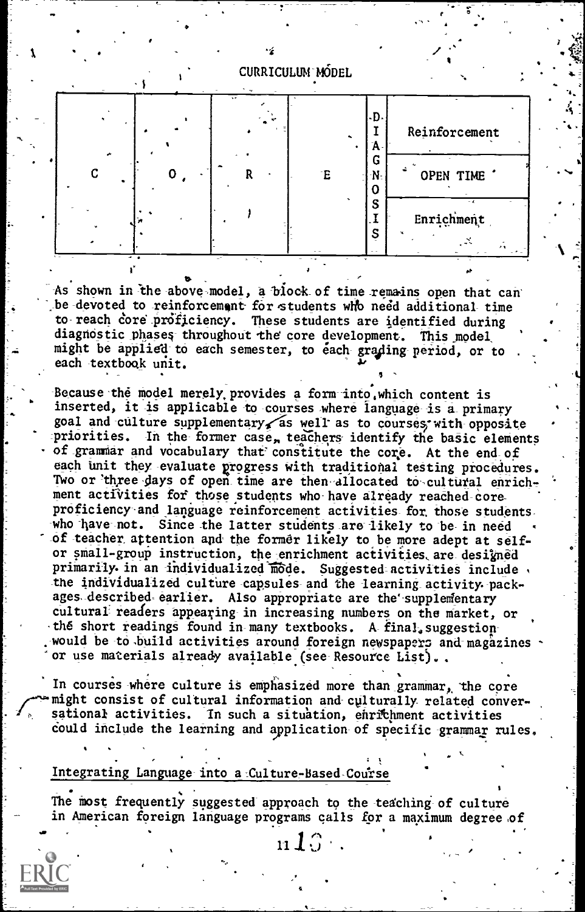

As shown in the above model, a block of time remains open that can be devoted to reinforcement for students who need additional time to reach core proficiency. These students are identified during  $\cdot$ diagnostic\_phases- throughodt the core development. This\_model, might be applied to each semester, to each grading-period, or to each textbook unit.

 $\mathcal{L}_{\rm{max}}$ 

Because the model merely provides a form into which content is inserted, it is applicable to courses where language is a primary goal and culture supplementary as well as to courses with opposite priorities. In the former case, teachers identify the basic elements of grammar and vocabulary that constitute the core. At the end of each unit they evaluate progress with traditional testing procedures. Two or three-days of open time are then allocated to cultural enrichment activities for those students who have already reached-coreproficiency and language reinforcement activities for those students,<br>who have not. Since the latter students are likely to be in need Since the latter students are likely to be in need -or teacher attention and the former likely to be more adept at selfor small-group instruction, the enrichment activities are designed primarily in an individualized mode. Suggested activities include , the individualized culture-capsules and the learning activity packages described earlier. Also appropriate are the supplementary cultural readers appearing in increasing numbers on the market, or the short readings found in-many textbooks. A-final suggestionwould be to build activities around foreign newspapers and magazines or use materials already available (see Resource List)..

In courses where culture is emphasized more than grammar, the core might consist of cultural information and culturally related conversational activities. In such a situation, enrichment activities could include the learning and application of specific grammar rules.

#### Integrating Language into a Culture-Based Course

The most frequently suggested approach to the teaching of culture in American foreign language programs calls for a maximum degree of

 $\mathbf{n10}$  . The following  $\mathbf{10}$ 

 $\blacksquare$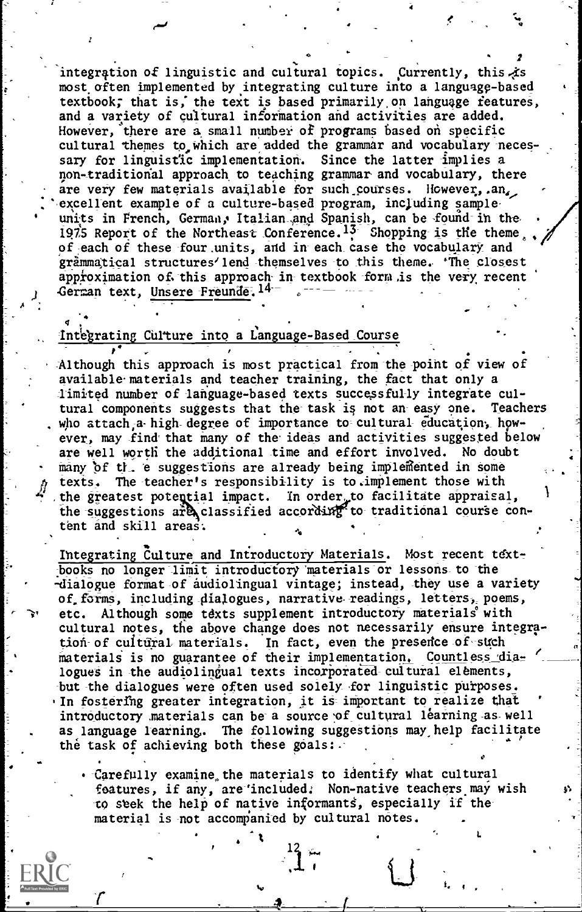integration of linguistic and cultural topics. Currently, this is most often implemented byintegrating culture into a language-based textbook; that is, the text is based primarily on language features, and a variety of cultural information and activities are added. However, there are a small number of programs based on specific cultural themes to which are added the grammar and vocabulary necessary for linguistic implementation. Since the latter implies a non-traditional approach to teaching grammar and vocabulary, there are very few materials available for such courses. However,  $an_{\epsilon}$ , excellent example of a culture-based program, including sampleunits in French, German, Italian and Spanish, can be found in the 1975 Report of the Northeast Conference.<sup>13</sup> Shopping is the theme, of each of these four units, and in each case the vocabulary and grammatical structures'lend themselves-to this theme. The closest approximation of this approach in textbook form is the very recent German text, Unsere Freunde. 14-

#### Integrating Culture into a Language-Based Course

 $\mathcal{F}^{\prime}$  . The second contribution of the second contribution  $\mathcal{F}^{\prime}$ Although this approach is most practical from the point of view of available materials and teacher training, the fact that only a limited number of language-based texts successfully integrate cultural components suggests that the task is not an-easy one. Teachers who attach a high-degree of importance to cultural education, however, may find that many of the ideas and activities suggested below are well worth the additional time and effort involved. No doubt many of the e suggestions are already being implemented in some texts. The teacher's responsibility is to. implement those with the suggestions are classified according to traditional course con-<br>tent and skill areas. the greatest potential impact. In order to facilitate appraisal, 1 and the suggestions are classi tent and skill areas:

Integrating Culture and Introductory Materials. Most recent textbooks no longer limit introductory materials or lessons to the -dialogue format of audiolingual vintage; instead, they use a variety of.forms, including- dialogues, narrative-readings, letters-,, poems, etc. Although some texts supplement introductory materials with cultural notes, the above change does not necessarily ensure integration-of cultural materials. In fact, even the presence of such materials is no guarantee of their implementation. Countless dialogues in the audiolingual texts incorporated cultural elements, but the dialogues were often used solely for linguistic purposes. In fostering greater integration, it is important to realize that introductory materials can be a source of cultural learning as well as language learning. The following suggestions may help facilitate the task of achieving both these goals:. e

Carefully examine the materials to identify what cultural features, if any, are'included. Non-native teachers may wish -to stek the help of native informants, especially if thematerial is not accompanied by cultural notes.

 $\mathbf{I}$ ,  $\mathbf{I}$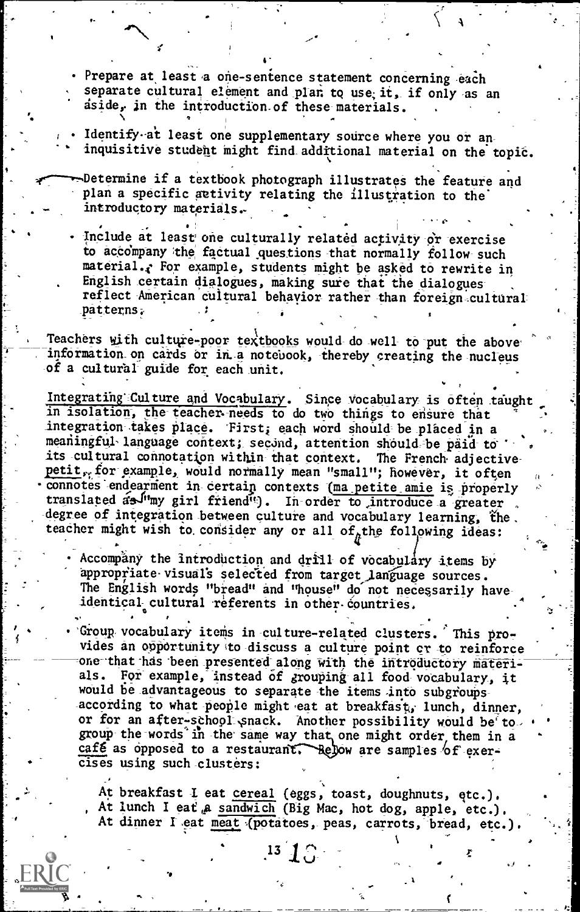. Prepare at least a one-sentence statement concerning each separate cultural element and plan to use; it, if only as an dside, in the introduction.of these-materials.

4-

Identify at least one supplementary source where you or aninquisitive studeht might find.additional material on the topit.

Determine if a textbook photograph illustrates the feature and plan a specific activity relating the illustration to the introductory materials,

Include at least one culturally related activity or exercise to accompany the factual questions that normally follow-such material.? For example, students might be asked to rewrite in English certain dialogues, making sure that the dialoguesreflect American cultural behavior rather than foreign cultural \_patterns.-

Teachers with culture-poor textbooks would do well to put the above information on cards or in a notebook, thereby creating the nucleus of a cultural guide for each unit.

Integrating Culture and Vocabulary. Since vocabulary is often taught in isolation, the teacher-needs to do two things to ensure that integration takes place. First; each word should be placed in a meaningful-language context; second, attention should-be paid to its cultural connotation within that context. The French adjectivepetit, for example, would normally mean "small"; however, it often connotes endearment in certain contexts (ma petite amie is properly translated as <sup>fu</sup>my girl friend<sup>it</sup>). In order to introduce a greater degree of integration between culture and vocabulary learning, the. teacher might wish to consider any or all of<sub>a</sub>the following ideas:

Accompany the introduction and drill of vocabulary items by appropriate visuals selected from target language sources. The English words "bread" and "house" do not necessarily have identical cultural referents in other countries.  $\bullet$  and  $\bullet$ 

'

'Group,vocabulary items in-culture-related clusters. This provides an opportunity to discuss a culture point or to reinforce one that has been presented along with the introductory materi-<br>als. For example, instead of *r*rouping all food vocabulary, it For example, instead of grouping all food vocabulary, it would be advantageous to separate the items into subgroupsaccording to what people might eat at breakfast, lunch, dinner, or for an after-school snack. Another possibility would be to. group the words in the same way that one might order them in a cafe as opposed to a restaurant. Relow are samples  $6f$  exercises using such clusters:

At breakfast I eat cereal (eggs, toast, doughnuts, etc.). At lunch I eat a sandwich (Big Mac, hot dog, apple, etc.). At dinner I eat meat (potatoes, peas, carrots, bread, etc.).

 $13 \t{1}$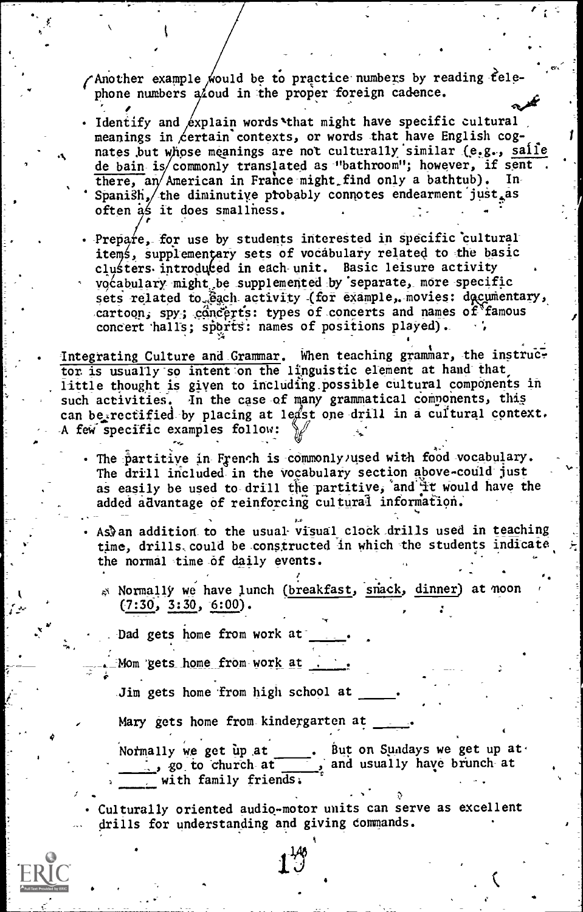Another example would be to practice numbers by reading telephone numbers  $a\acute{\ }$  aud in the proper foreign cadence.

- · Identify and  $\&$ xplain words that might have specific cultural meanings in  $\&$ certain contexts, or words that have English cognates but whose meanings are not culturally similar (e.g., saile<br>de bain is commonly translated as "bathroom"; however, if sent<br>there, an American in France might find only a bathtub). In<br>Spanish, the diminutive probably c often as it does smallness.
- Prepare, for use by students interested in specific cultural items, supplementary sets of vocabulary related to the basic clusters introduced in each unit. Basic leisure activity vocabulary might be supplemented by separate, more specific<br>sets related to @gch activity (for example, movies: decumentary, cartoon, spy; concerts: types of concerts and names of famous concert 'halls; sports: names of positions played).
- Integrating Culture and Grammar. When teaching grammar, the instruction to including inguistic element at hand that little thought is given to including possible cultural components in such activities. In the case of many grammatical components, this can be, rectified by placing at lest one drill in a cultural context. A few specific examples follow:  $\frac{1}{2}$  ...<br>The partitive in French is commonly used with food vocabulary.
	- The drill included in the vocabulary section above could just as easily be used to drill the partitive, and It would have the added advantage of reinforcing cultural information.
	- As) an addition to the usual visual clock drills used in teaching time, drills, could be constructed in which the students indicate the normal time 6f daily events.
		- 44 Normally we have lunch (breakfast, snack, dinner) at moon  $(7:30, 3:30, 6:00)$ .

Dad gets home from work at

 $\mathbf{v} = \mathbf{v} \times \mathbf{v}$ 

Mom gets home from work at .

Jim gets home from high school at

Mary gets home from kindergarten at

Notmally we get up at . But on Sundays we get up at .<br>, go to church at , and usually have brunch at , and usually have brunch at with family friends.

Culturally oriented audio-motor units can serve as excellent drills for understanding and giving commands.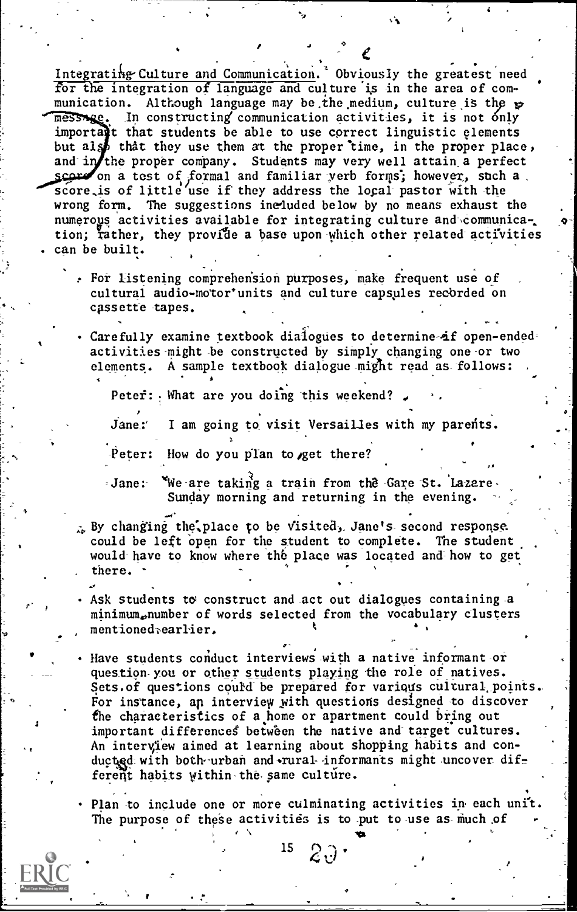, . . Integrating Culture and Communication. Obviously the greatest need for the integration of language and culture is in the area of com-<br>munication. Although language may be the medium, culture is the  $\kappa$ Although language may be the medium, culture is the  $p$ message. In constructing communication activities, it is not only importatt that students be able to use correct linguistic elements but also that they use them at the proper time, in the proper place, and in the proper company. Students may very well attain a perfect on a test of formal and familiar verb forms; however, such a score.is of little use if they address the local- pastor with the wrong form. The suggestions ine4uded below by no means exhaust the numerous activities available for integrating culture and communica-, tion; rather, they provide a base upon which other related activities . can be built.

- For listening comprehension purposes, make frequent use of cultural audio-motor'units and culture capsules recorded on cassette tapes.
- Carefully examine textbook dialogues to determine-4f open-ended= activities might be constructed by simply changing one or two elements. A sample textbook dialogue might read as follows:

Peter:  $\frac{1}{2}$  What are you doing this weekend?

Jane:' I am going to visit Versailles with my parents.

Peter: How do you plan to get there?

Jane: "We are taking a train from the Gare St. Lazare. Sunday morning and returning in the evening.

- $\lambda_k$  By changing the. place to be visited, Jane's second response. could be left open for the student to complete. The student would have to know where the place was located and how to get there.
- Ask students to construct and act out dialogues containing a minimum,,number of words selected from the vocabulary clusters mentioned<sub>rearlier.</sub> .

Have students conduct interviews with a native informant-or question-you or other students playing the role of natives. Sets. of questions could be prepared for various cultural points. For instance, an interview with questions designed to discover the characteristics of a home or apartment could bring out important differences between the native and target cultures. An interview aimed at learning about shopping habits and conducted with both urban and rural informants might uncover different habits within the same culture.

Plan to include one or more culminating activities ip each unit. The purpose of these activities is to put to use as much of

**Islam Controller State** 

.

 $15$   $2\sqrt{3}$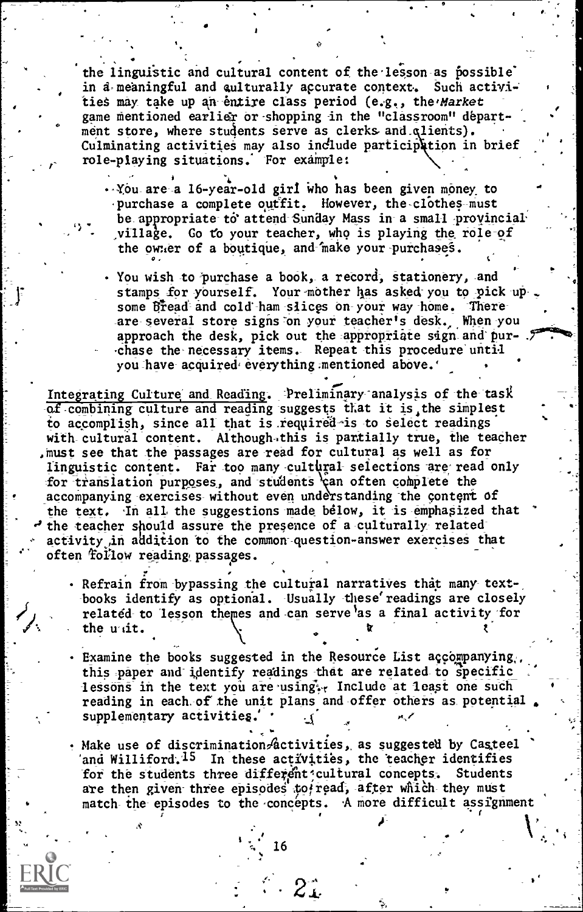the linguistic and cultural content of the lesson as possible in  $a$ -meaningful and qulturally accurate context. Such activities may take up an-entire class period  $(e.g., the 'Market$ game mentioned earlier or shopping in the "classroom" department store, where students serve as clerks and qlients). Culminating activities may also include participation in brief role-playing situations. For example:

 $\bullet$  . The set of  $\bullet$ 

. You are a 16-year-old girl who has been given money to purchase a complete outfit. However, the clothes-must be appropriate to attend Sunday Mass in a small provincial village. Go to your teacher, who is playing the role-of the owner of a boutique, and make your purchases.

. You wish to purchase a book, a record, stationery, and stamps for yourself. Your mother has asked you to pick upsome Bread and cold-ham slices on-your way home. There-<br>are several store signs on your teacher's desk. When you approach the desk, pick out the appropriate sign and pur-  $\mathcal F$ chase the necessary items. Repeat this procedure until you have acquired everything mentioned above.'

Integrating Culture and Reading. Preliminary analysis of the task of combining culture and reading suggests that it is, the simplest to accomplish, since all that is required-is to select readings with cultural content. Although this is partially true, the teacher , must see that the passages are read for cultural as well as for linguistic content. Far too many cultural selections are read only for translation purposes, and students can often complete the accompanying exercises without even understanding the content of the text. In all the suggestions made below, it is emphasized that the teacher should assure the presence of a culturally-relatedactivity in addition to the common question-answer exercises that often follow reading passages.

- $\mathcal{L} = \sum_{i=1}^{n} \mathcal{L}_{i} \mathcal{L}_{i}$ Refrain from bypassing the cultural narratives that many text-, the state of  $\sim$ books identify as optional. Usually these' readings are closely related to lesson the es and can serve as a final activity for the unit.
- $\cdot$  Examine the books suggested in the Resource List accompanying,, this paper and identify readings that are related to specific lessons in the text you are using. Include at least one such reading in each of the unit plans and offer others as potential. supplementary activities.'

. Make use of discrimination $\mathscr{A}$ ctivities, as suggested by Casteel and Williford.<sup>15</sup> In these activities, the teacher identifies<br>for the students three different cultural concepts. Students for the students three different cultural concepts. are then given three episodes to read, after which they must match the episodes to the-concepts. 'A more difficult assignment

 $\mathbf{r}$  and  $\mathbf{r}$ 

. . . 1. 16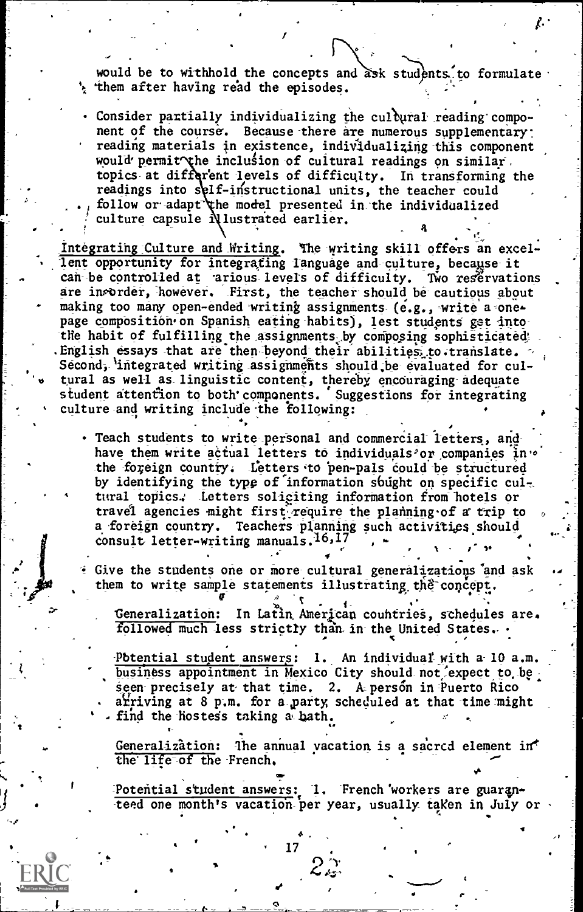would be to withhold the concepts and ask students to formulate.  $\frac{1}{2}$  them after having read the episodes.

Consider partially individualizing the cultural reading component of the course. Because there are numerous supplementary: reading materials in existence, individualizing this component would permit the inclusion of cultural readings on similar. topics at different levels of difficulty. In transforming the readings into self-instructional units, the teacher could follow or adapt the model presented in the individualized culture capsule Nlustrated earlier.

Integrating Culture and Writing. The writing skill offers an excellent opportunity for integrating language and culture, because it can be controlled at arious levels of difficulty. Two reservations are invorder, however. First, the teacher should be cautious about making too many open-ended writing assignments (e.g., write a onepage composition on Spanish eating habits), lest students get intothe habit of fulfilling the assignments by composing sophisticated. . English essays that are then beyond their abilities, to.translate. Second, integrated writing assignments should, be evaluated for cultural as well as- linguistic content, thereby encouraging adequate student attention to both'components. Suggestions for integrating culture and writing include the following:

- · Teach students to write personal and commercial letters, andhave them write actual letters to individuals'or companies in:0 the foreign country. Letters to pen-pals could be structured by identifying the type of information sbught on specific cultural topics.: Letters soliciting information from hotels or travel agencies might first require the planning of a trip to a foreign country. Teachers planning such activities should consult letter-writing manuals.<sup>16,17</sup>  $\sqrt{2}$
- Give the students one or more cultural generalizations and ask them to write sample statements illustrating the concept.

't Generalization: In Latin American countries, schedules are. followed much less strictly than in the United States.  $\cdot$ 

 $\bullet$   $\bullet$   $\bullet$   $\bullet$ 

Potential student answers: 1. An individual with a 10 a.m. business appointment in Mexico City should not, expect to be seen precisely at that time. 2. A person in Puerto Rico ariving at 8 p.m. for a party, scheduled at that time might find the hostess taking a bath.

Generalization: The annual vacation is a sacred element in the life of the French.

SNI

Potential student answers: 1. French 'workers are guaranteed one month's vacation per year, usually taken in July or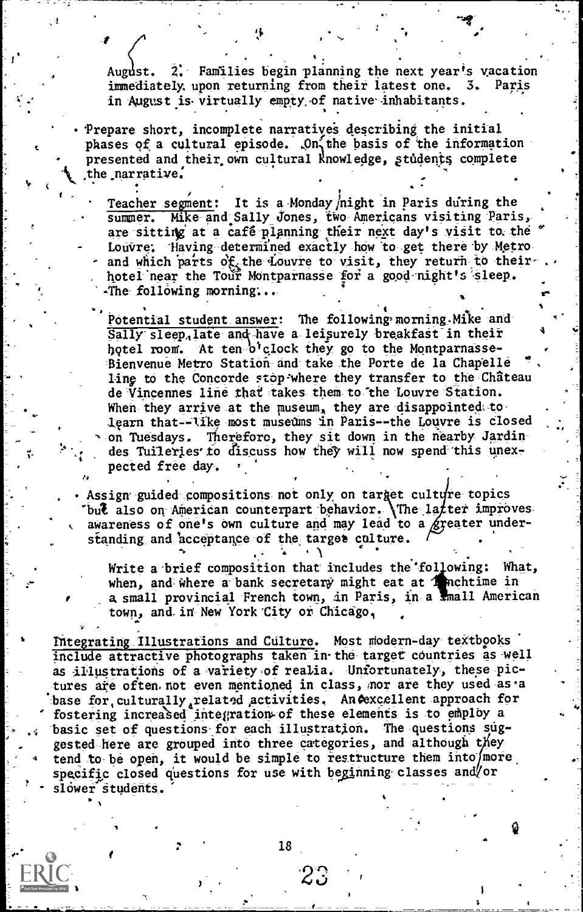August. 2. Families begin planning the next year's vacation<br>immediately upon returning from their latest one. 3. Paris immediately, upon returning from their latest one. in August is virtually empty of native inhabitants.

.

Prepare short, incomplete narratives describing the initial phases of a cultural episode. On the basis of the information presented and their own cultural knowledge, students complete the narrative:

Teacher segment: It is a Monday /night in Paris during the summer. Mike and Sally Jones, two Americans visiting Paris, are sitting at a café planning their next day's visit to the Louvre: 'Having determined exactly how to get there by Metroand which parts of the Louvre to visit, they return to theirhotel near the Tour Montparnasse for a good night's sleep. The following morning...

Potential student answer: The following morning Mike and . .. Sally sleep, late and have a leisurely breakfast in their hotel room. At ten o'clock they go to the Montparnasse-Bienvenue Metro Station and take the Porte de la Chapelle ling to the Concorde stop where they transfer to the Château de Vincennes line that takes them to the Louvre Station. When they arrive at the museum, they are disappointed to learn that--like most museums in Paris--the Louvre is closed on Tuesdays. Therefore, they sit down in the nearby Jardindes Tuileries to discuss how they will now spend this unexpected free day .

Assign guided compositions not only on target culture topics but also on American counterpart behavior. The latter imposition . awareness of one's own culture and may lead to a  $g$  peater standing and acceptance of the target culture. ter improves eater under- .

 $\theta$  is a set of the set of the set of the set of the set of the set of the set of the set of the set of the set of the set of the set of the set of the set of the set of the set of the set of the set of the set of the se

-,,

Write a brief composition that includes the 'fol owing: What, when, and where a bank secretary might eat at  $\pi$  nchtime in a small provincial French town, in Paris, in a small American and town, and in New York City or Chicago.

Integrating Illustrations and Culture. Most modern-day textbooks include attractive photographs taken in the target countries as well as illustrations of a variety of realia. Unfortunately, these pictures are often not even mentioned in class, nor are they used as a base for, culturally, related activities. An Aexcellent approach for fostering increased integration of these elements is to employ a .< basic set of questions-for each illustration. The questions suggested here are grouped into three categories, and although they tend to be open, it would be simple to restructure them into  $/m$  ore specific closed questions for use with beginning classes and/or slower students.

18

-I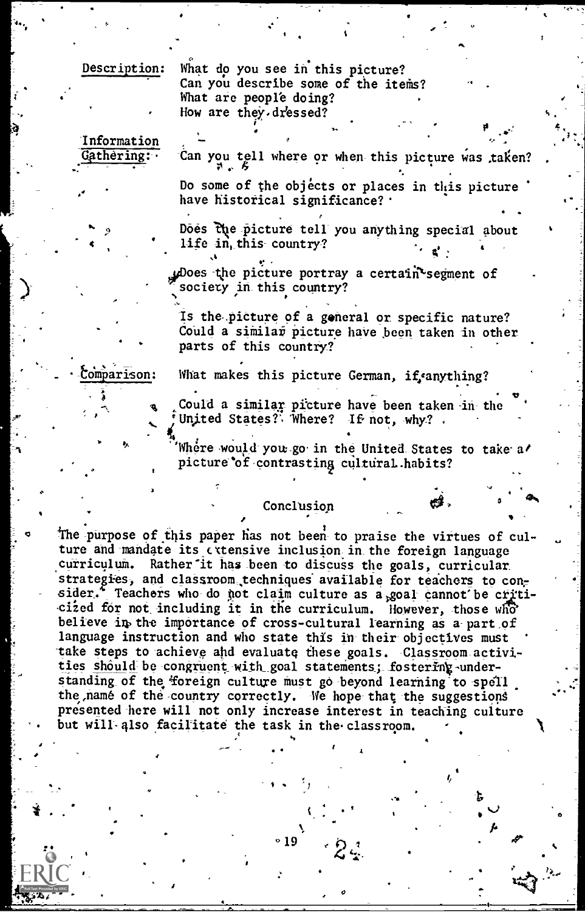Description:

What do you see in this picture? Can you describe some of the items? What are people doing? How are they dressed?

Information Gathering:

Can you tell where or when this picture was taken?

Do some of the objects or places in this picture have historical significance? .

Does the picture tell you anything special about life in this country?

ploes the picture portray a certain segment of society in this country?

Is the picture of a general or specific nature? Could a similar picture have been taken in other parts of this country?

comparison:

What makes this picture German, if canything?

Could a similar picture have been taken in the United States? Where? If not, why?

Where would you go in the United States to take a/ picture of contrasting cultural habits?

#### Conclusion

The purpose of this paper has not been to praise the virtues of culture and mandate its extensive inclusion in the foreign language curriculum. Rather it has been to discuss the goals, curricular strategies, and classroom techniques available for teachers to consider. Teachers who do not claim culture as a goal cannot be criticized for not including it in the curriculum. However, those who believe in the importance of cross-cultural learning as a part of language instruction and who state this in their objectives must take steps to achieve and evaluate these goals. Classroom activities should be congruent with goal statements; fostering understanding of the foreign culture must go beyond learning to spell the name of the country correctly. We hope that the suggestions presented here will not only increase interest in teaching culture but will also facilitate the task in the classroom.

° 19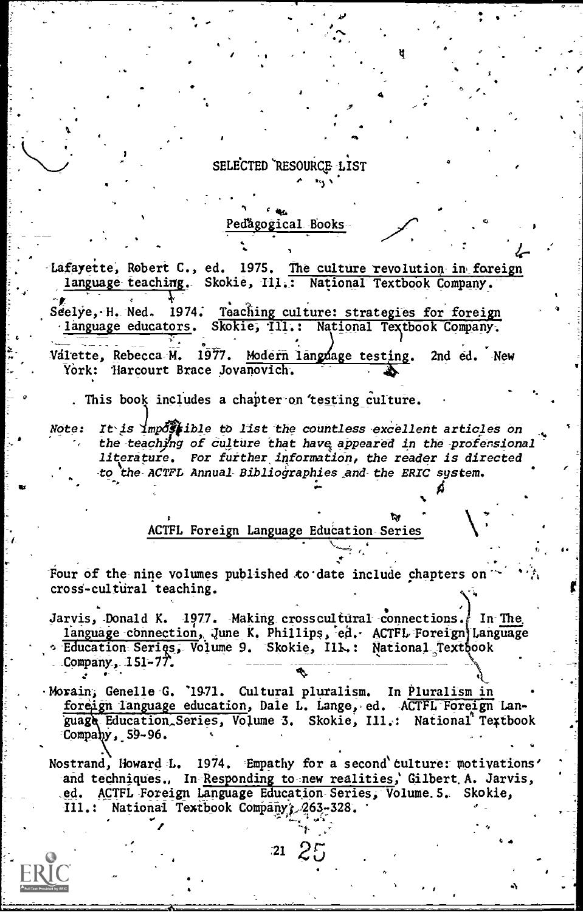SELECTED RESOURCE LIST

ng s

Pedagogical Books

Lafayette, Robert C., ed. 1975. The culture revolution in foreign language teaching. Skokie, Ill.: National Textbook Company. 1974. Teaching culture: strategies for foreign Seelye, H. Ned. language educators. Skokie, Ill.: National Textbook Company. 1977. Modern language testing. Valette, Rebecca M. 2nd ed. New York: Harcourt Brace Jovanovich.

. This book includes a chapter on testing culture.

It is impossible to list the countless excellent articles on Note: the teaching of culture that have appeared in the profersional literature. For further information, the reader is directed to the ACTFL Annual Bibliographies and the ERIC system.

ACTFL Foreign Language Education Series

Four of the nine volumes published to date include chapters on cross-cultural teaching.

Jarvis, Donald K. 1977. Making crosscultural connections. In The language connection, June K. Phillips, ed. ACTFL Foreign Language **Education Series, Volume 9. Skokie, Ill.: National Textbook** Company,  $151 - 77$ .

·Morain; Genelle G. '1971. Cultural pluralism. In Pluralism in foreign language education, Dale L. Lange, ed. ACTFL Foreign Language Education Series, Volume 3. Skokie, Ill.: National Textbook Company, 59-96.

Nostrand, Howard L. 1974. Empathy for a second culture: motivations' and techniques., In Responding to new realities, Gilbert A. Jarvis, ACTFL Foreign Language Education Series, Volume. 5. Skokie,  $.$ ed. National Textbook Company 263-328.  $\mathbf{m}$  . :

 $21\ \frac{2!}{2!}$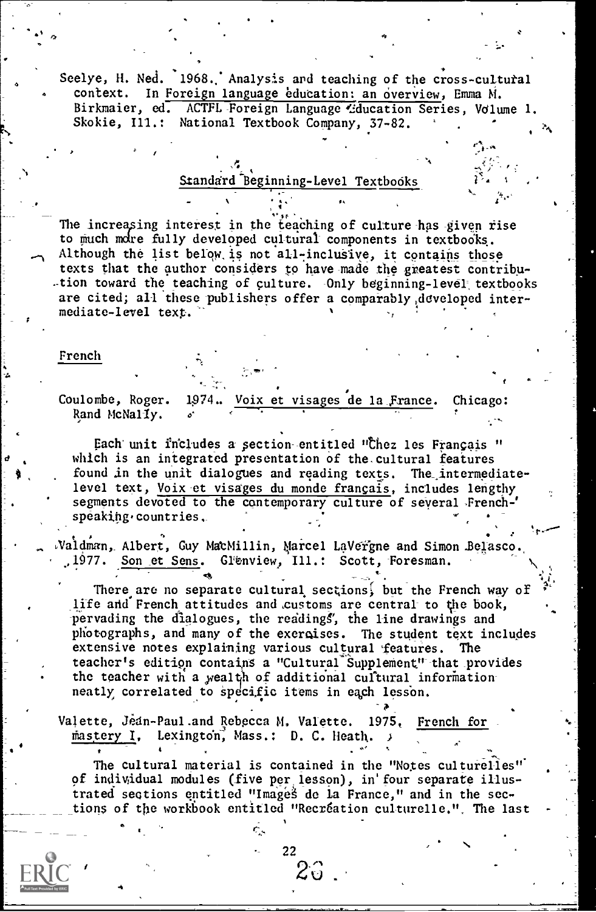Seelye, H. Ned. 1968. Analysis and teaching of the cross-cultural context. In Foreign language education: an overview, Emma M. Birkmaier, ed. ACTFL-Foreign Language Cducation Series, Volume 1. Skokie, Ill.: National Textbook Company, 37-82.

#### Standard Beginning-Level Textbooks

The increasing interest in the teaching of culture-has-given rise to much more fully developed cultural components in textbooks. Although the list below is not all-inclusive, it contains those texts that the author considers to have-made the greatest contribu tion toward the teaching of culture. Only beginning-level textbooks are cited; all these publishers offer a comparably, developed intermediate-level text.

#### French

Coulombe, Roger. 1974. Voix et visages de la France. Chicago: Rand McNally.

2.2

Each unit includes a section entitled "Chez les Français " which is an integrated presentation of the. cultural features found in the unit dialogues and reading texts. The intermediatelevel text, Voix et visages du monde francais, includes lengthy segments devoted to the contemporary culture of several French-' speaking.countries.

Valdman, Albert, Guy MacMillin, Marcel LaVergne and Simon Belasco. .,1977. Son \_et Sens. Glenview, Ill.: Scott, Toresman.

There are no separate cultural sections, but the French way of life and French attitudes and customs are central- to the book, pervading the dialogues, the readings', the line drawings and photographs, and many of the exercises. The student text includes extensive notes explaining various cultural features. The teacher's edition contains a "Cultural Supplement" that provides the teacher with a wealth of additional cultural informationneatly correlated to specific items in each lesson.

 $\lambda$ 

Valette, Jean-Paul.and Rebecca M, Valette. 1975, French for mastery I, Lexington, Mass.: D. C. Heath.

4

The cultural material is contained in the "Notes culturelles" of individual modules (five per lesson), in'four separate illustrated sections entitled "Images de la France," and in the sections of the workbook entitled "Recréation culturelle.". The last

- 22

 $z_{\circ}$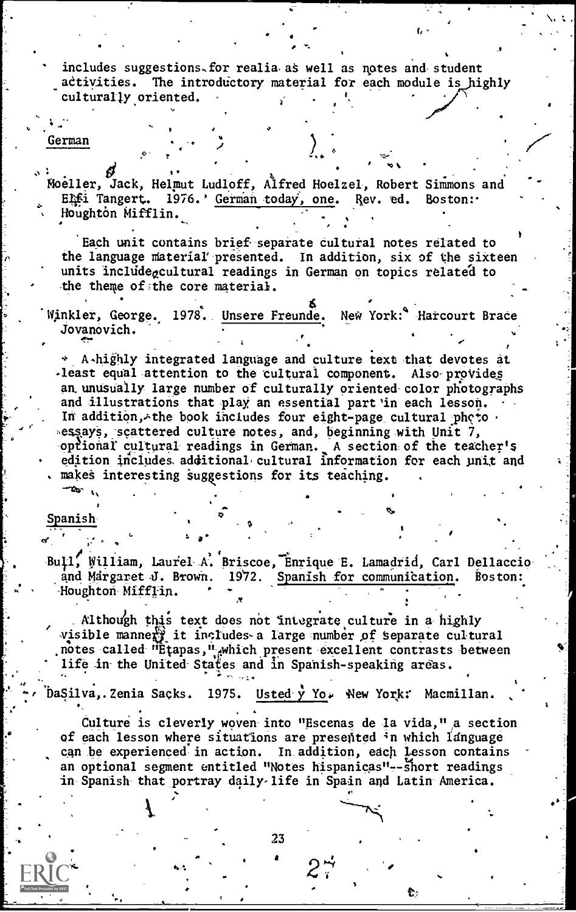includes suggestions for realia as well as notes and student activities. The introductory material for each module is highly culturally oriented.

#### German

Moeller, Jack, Helmut Ludloff, Alfred Hoelzel, Robert Simmons and ELfi Tangert. 1976.' German today, one. Rev. ed. Boston: Houghton Mifflin.

Each unit contains brief separate cultural notes related to the language material presented. In addition, six of the sixteen units include<sub>c</sub>cultural readings in German on topics related to the theme of the core material.

Winkler, George. 1978. Unsere Freunde. New York: Harcourt Brace Jovanovich.

A-highly integrated language and culture text that devotes at -least equal attention to the cultural component. Also provides an unusually large number of culturally oriented color photographs and illustrations that play an essential part in each lesson. In addition, the book includes four eight-page cultural photo sessays, scattered culture notes, and, beginning with Unit  $7$ , optional cultural readings in German. A section of the teacher's edition includes additional cultural information for each unit and makes interesting suggestions for its teaching.

Spanish

Bull, William, Laurel A. Briscoe, Enrique E. Lamadrid, Carl Dellaccio and Margaret J. Brown. 1972. Spanish for communication. Boston: Houghton Mifflin.

Although this text does not integrate culture in a highly visible manners it includes a large number of separate cultural<br>notes called "Etapas," which present excellent contrasts between life in the United States and in Spanish-speaking areas.

Usted  $\mathbf{y}$  Yo. New York: Macmillan. DaSilva, Zenia Sacks. 1975.

Culture is cleverly woven into "Escenas de la vida," a section of each lesson where situations are presented in which language can be experienced in action. In addition, each lesson contains an optional segment entitled "Notes hispanicas"--short readings in Spanish that portray daily life in Spain and Latin America.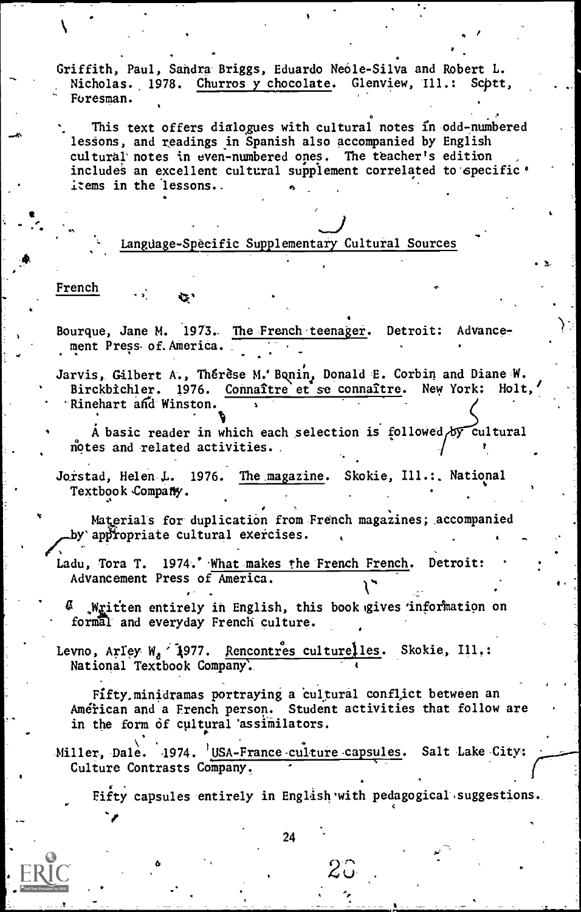Griffith, Paul, Sandra Briggs, Eduardo Neóle-Silva and Robert L. Nicholas. 1978. Churros y chocolate. Glenview, Ill.: Scptt, Foresman.

This text offers dialogues with cultural notes in odd-numbered lessons, and readings in Spanish also accompanied by English cultural notes in even-numbered ones. The teacher's edition includes an excellent cultural supplement correlated to specific . items in the lessons..

## J<br>any Cultural Sources Language-Specific Supplementary Cultural Sources

#### French

Q.

 $\sqrt{2}$ 

Bourque, Jane M. 1973. The French teenager. Detroit: Advancement Press of. America.

Jarvis, Gilbert A., Thérèse M.'Bonin, Donald E. Corbin and Diane W.<br>1976. Connaître et se connaître. New York: Holt. Birckbichler. 1976. Connaître et se connaître. New York: Rinehart and Winston.

A basic reader in which each selection is followed by cultural notes and related activities.

Jorstad, Helen L. 1976. The magazine. Skokie, Ill.: National Textbook Company.

Materials for-duplication from-French magazines; accompanied by appropriate cultural exercises.

Ladu, Tora T. 1974.' What makes the French French. Detroit: Advancement Press of America.  $\mathcal{V}^{\bullet}$  . Even a set  $\mathcal{V}^{\bullet}$ 

ß. Written entirely in English, this book gives information on formal- and everyday French culture.

Levno, Arley- W<sub>a</sub> 1977. Rencontres culturelles. Skokie, Ill,: National Textbook Company.

Fifty minidramas portraying a cultural conflict between an American and a French person. Student activities that follow are in the form of cultural 'assimilators.

Miller, Dale. 1974. USA-France-culture-capsules. Salt Lake-City: Culture Contrasts Company.

Fifty capsules entirely in English with pedagogical suggestions. 4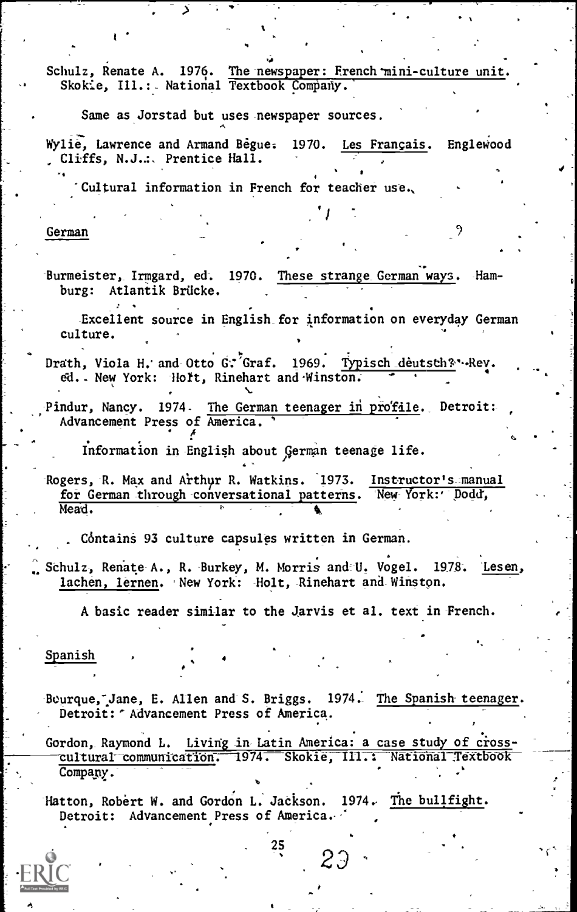Schulz, Renate A. 1976. The newspaper: French'mini-culture unit. Skokie, Ill.: National Textbook Company.

Same as Jorstad but uses newspaper sources.

Wylie, Lawrence and Armand Begue. 1970. Les Français. Englewood Cliffs, N.J.:, Prentice Hall.

,

9

Cultural information in French for teacher use.

German

Burmeister, Irmgard, ed. 1970. These strange German ways. Hamburg: Atlantik Brücke.

Excellent source in English for information on everyday German culture.

Drath, Viola H. and Otto G: Graf. 1969. Typisch deutsch& Rev. . . ed. New York: Holt, Rinehart and Winston.

Pindur, Nancy. 1974. The German teenager in profile. Detroit: , Advancement Press of America. '

Information in English about /german teenage life.

Rogers, R. Max and Arthur R. Watkins. 1973. Instructor's manual for German through conversational patterns. New- York:' Dodd', Mead.

Cóntains 93 culture capsules written in German.

Schulz, Renate A., R. Burkey, M. Morris and U. Vogel. 1978. Lesen, lachen, lernen. New York: Holt, Rinehart and Winston.

A basic reader similar to the Jarvis et al. text in French.

Spanish

Bourque, Jane, E. Allen and S. Briggs. 1974. The Spanish teenager. Detroit: " Advancement Press of America.

Gordon, Raymond L. Living in Latin America: a case study of crosscultural communication. 1974. Skokie, III.: National Textbook Company.  $\mathbf{v} = \mathbf{v}$ 

Hatton, Robert W. and Gordon L. Jackson. 1974. The bullfight. Detroit: Advancement Press of America.

25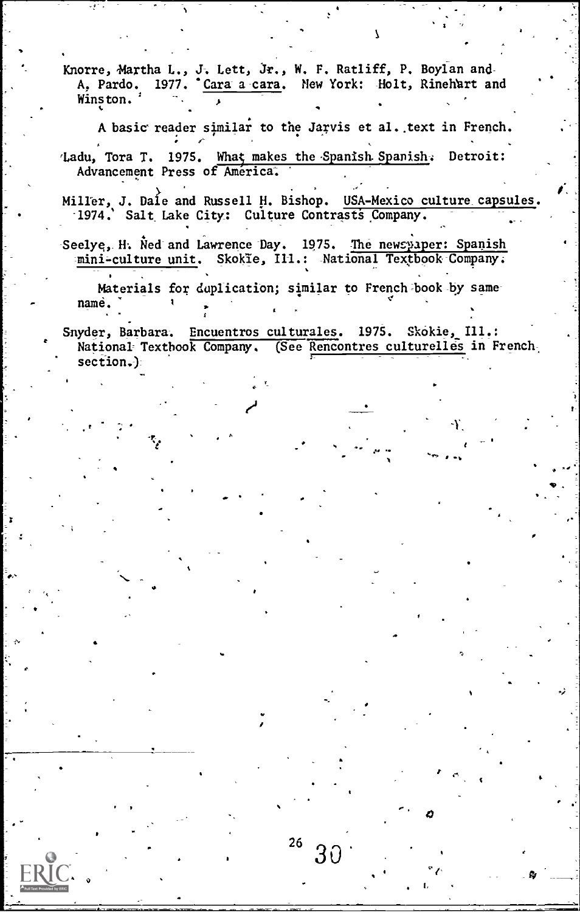Knorre, Maxtha L., J: Lett, Jr., W. F. Ratliff, P. Boylan and-A, Pardo. 1977. <u>Cara a cara</u>. New York: Holt, Rinehart and Winston.

A basic reader similar to the Jarvis et al. text in French.

'Ladu, Tora T. 1975. What makes the Spanish Spanish. Detroit: Advancement Press of America.

Miller, J. Dale and Russell H. Bishop. USA-Mexico culture capsules. -1974.' Salt Lake City: Culture Contrasts Company.

Seelye, H. Ned and Lawrence Day. 1975. The newspaper: Spanish mini-culture unit. Skokie, Ill.: National Textbook-Company.

Materials for duplication; similar to French book by samename.

F-

Snyder, Barbara. Encuentros culturales. 1975. Skokie, Ill.: National Textbook Company. (See Rencontres culturelles in French section.)

o.

Ÿ.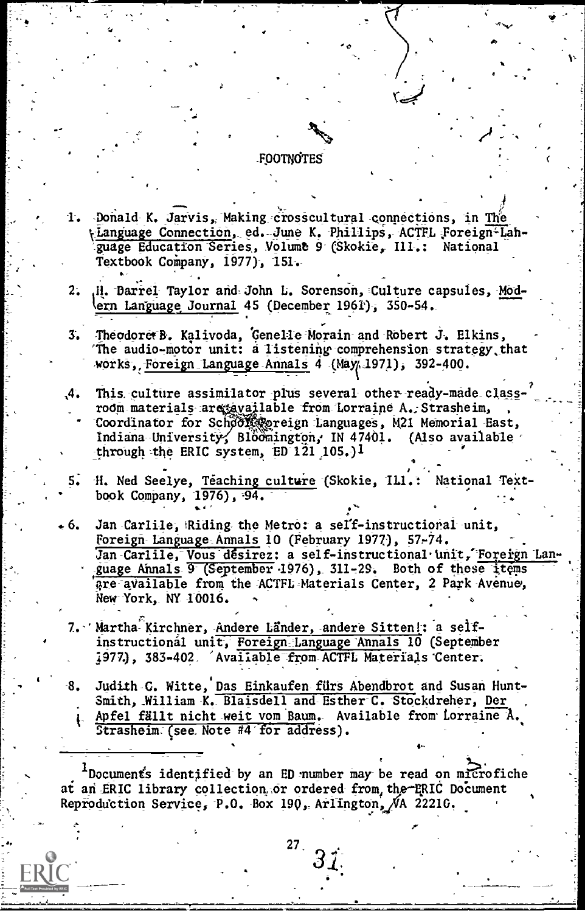#### FOOTNOTES

- 1. Donald K. Jarvis, Making crosscultural connections, in The tLanguage Connection, ed. June K. Phillips, ACTFL Foreign-Lahguage Education Series, Volume 9 (Skokie, Ill.: National Textbook Company, 1977), 151.
- .H. Darrel Taylor and John L. Sorenson, Culture capsules, Mod- $2.1$ ern Language Journal 45 (December 1961), 350-54.
- Theodoret B. Kalivoda, Genelle Morain and Robert J. Elkins,  $\overline{3}$ . The audio-motor unit: a listening comprehension strategy that works, Foreign Language Annals 4 (May 1971), 392-400.
- This culture assimilator plus several other ready-made class- $\mathcal{A}_{\bullet}$ room materials are available from Lorraine A. Strasheim, Coordinator for Schoof @ereign Languages, M21 Memorial East, Indiana University, Bloomington, IN 47401. (Also available through the ERIC system, ED 121 105.)<sup>1</sup>
	- H. Ned Seelye, Teaching culture (Skokie, ILI.: National Textbook Company, 1976), 94.
- Jan Carlile, Riding the Metro: a self-instructional unit.  $6.$ Foreign Language Annals 10 (February 1977), 57-74. Jan Carlile, Vous désirez: a self-instructional unit, Foreign Language Annals 9 (September 1976), 311-29. Both of these items are available from the ACTFL Materials Center, 2 Park Avenue, New York, NY 10016.
- 7. Martha Kirchner, Andere Länder, andere Sitten!: a selfinstructional unit, Foreign Language Annals 10 (September 1977.), 383-402. Avaiiable from ACTFL Materials Center.
- Judith C. Witte, Das Einkaufen fürs Abendbrot and Susan Hunt-8. Smith, William K. Blaisdell and Esther C. Stockdreher, Der Apfel fällt nicht weit vom Baum. Available from Lorraine A. Strasheim (see Note #4 for address).

lDocument's identified by an ED number may be read on microfiche at an ERIC library collection or ordered from the ERIC Document Reproduction Service, P.O. Box 190, Arlington, NA 22210.

 $27<sub>1</sub>$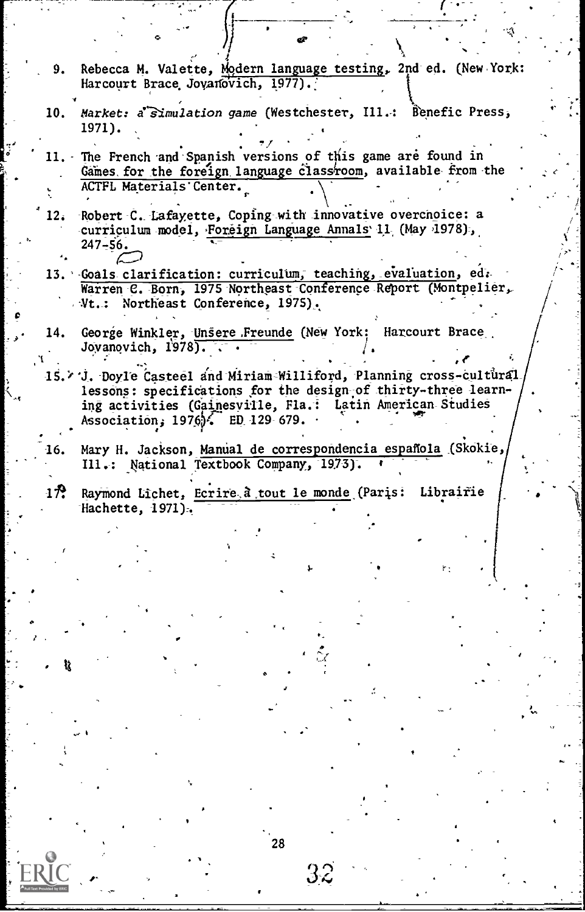- Rebecca M. Valette, Modern language testing, 2nd ed. (New York: 9. Harcourt Brace Jovanovich, 1977).
- Market: a Simulation game (Westchester, Ill.: Benefic Press, 10. 1971).
- 11. The French and Spanish versions of this game are found in Games for the foreign language classroom, available from the ACTFL Materials Center.
- Robert C. Lafayette, Coping with innovative overcnoice: a  $12<sub>i</sub>$ curriculum model, Foreign Language Annals 11 (May 1978),  $247 - 56.$
- 13. Goals clarification: curriculum, teaching, evaluation, ed. Warren C. Born, 1975 Northeast Conference Report (Montpelier, Vt.: Northeast Conference, 1975).
- George Winkler, Unsere Freunde (New York: Harcourt Brace 14. Jovanovich, 1978).
- 15. V. Doyle Casteel and Miriam Williford, Planning cross-cultural lessons: specifications for the design of thirty-three learning activities (Gainesville, Fla.: Latin American Studies Association,  $1976$ . ED 129 679.
- Mary H. Jackson, Manual de correspondencia española (Skokie, 16. Ill.: National Textbook Company, 1973).
- $1\,$  $\sim$ Raymond Lichet, Ecrire à tout le monde (Paris: Librairie Hachette, 1971).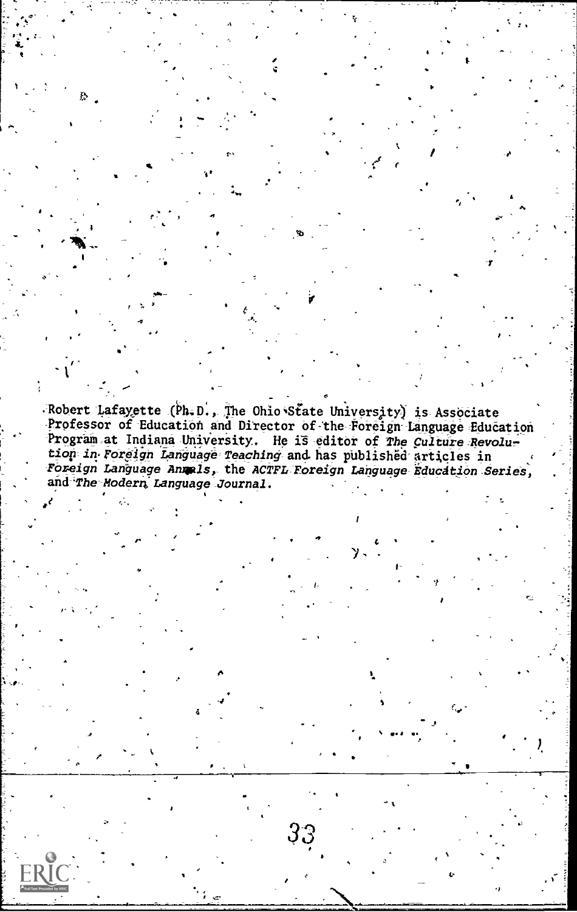Robert Lafayette (Ph.D., The Ohio State University) is Associate Professor of Education and Director of the Foreign Language Education Program at Indiana University. He is editor of The Culture Revolution in Foreign Language Teaching and has published articles in Foreign Language Annals, the ACTFL Foreign Language Education Series, and The Modern Language Journal.